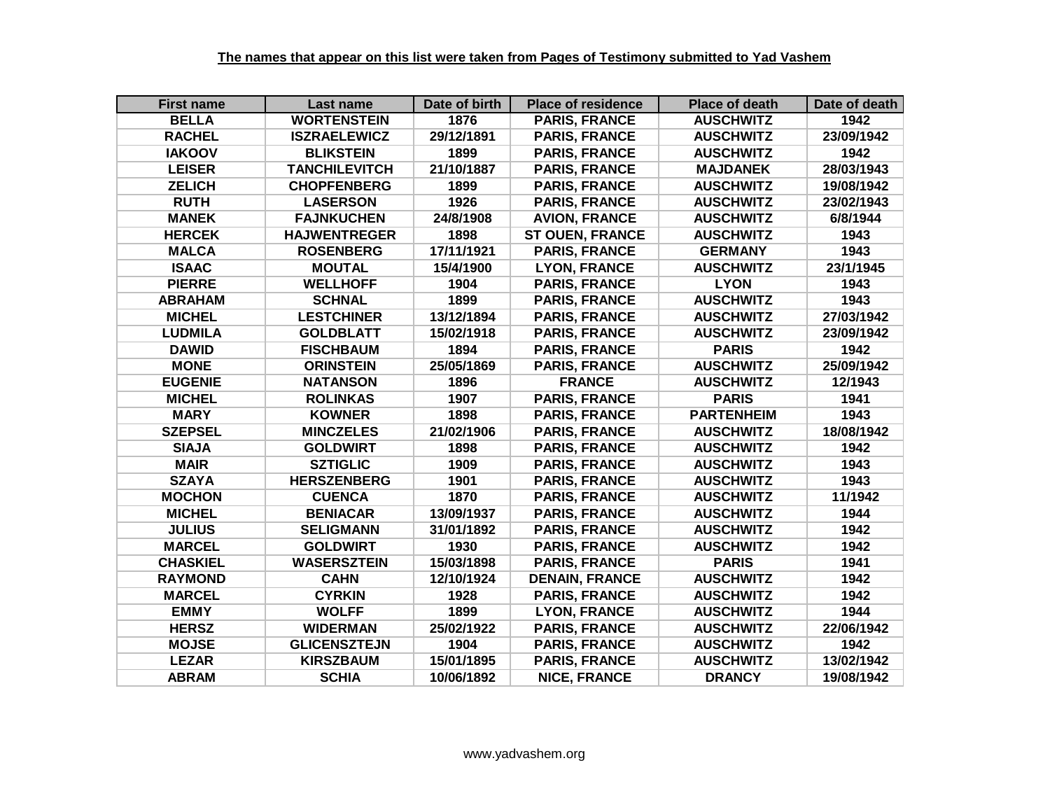| <b>First name</b> | Last name            | Date of birth | <b>Place of residence</b> | <b>Place of death</b> | Date of death |
|-------------------|----------------------|---------------|---------------------------|-----------------------|---------------|
| <b>BELLA</b>      | <b>WORTENSTEIN</b>   | 1876          | <b>PARIS, FRANCE</b>      | <b>AUSCHWITZ</b>      | 1942          |
| <b>RACHEL</b>     | <b>ISZRAELEWICZ</b>  | 29/12/1891    | <b>PARIS, FRANCE</b>      | <b>AUSCHWITZ</b>      | 23/09/1942    |
| <b>IAKOOV</b>     | <b>BLIKSTEIN</b>     | 1899          | <b>PARIS, FRANCE</b>      | <b>AUSCHWITZ</b>      | 1942          |
| <b>LEISER</b>     | <b>TANCHILEVITCH</b> | 21/10/1887    | <b>PARIS, FRANCE</b>      | <b>MAJDANEK</b>       | 28/03/1943    |
| <b>ZELICH</b>     | <b>CHOPFENBERG</b>   | 1899          | <b>PARIS, FRANCE</b>      | <b>AUSCHWITZ</b>      | 19/08/1942    |
| <b>RUTH</b>       | <b>LASERSON</b>      | 1926          | <b>PARIS, FRANCE</b>      | <b>AUSCHWITZ</b>      | 23/02/1943    |
| <b>MANEK</b>      | <b>FAJNKUCHEN</b>    | 24/8/1908     | <b>AVION, FRANCE</b>      | <b>AUSCHWITZ</b>      | 6/8/1944      |
| <b>HERCEK</b>     | <b>HAJWENTREGER</b>  | 1898          | <b>ST OUEN, FRANCE</b>    | <b>AUSCHWITZ</b>      | 1943          |
| <b>MALCA</b>      | <b>ROSENBERG</b>     | 17/11/1921    | <b>PARIS, FRANCE</b>      | <b>GERMANY</b>        | 1943          |
| <b>ISAAC</b>      | <b>MOUTAL</b>        | 15/4/1900     | <b>LYON, FRANCE</b>       | <b>AUSCHWITZ</b>      | 23/1/1945     |
| <b>PIERRE</b>     | <b>WELLHOFF</b>      | 1904          | <b>PARIS, FRANCE</b>      | <b>LYON</b>           | 1943          |
| <b>ABRAHAM</b>    | <b>SCHNAL</b>        | 1899          | <b>PARIS, FRANCE</b>      | <b>AUSCHWITZ</b>      | 1943          |
| <b>MICHEL</b>     | <b>LESTCHINER</b>    | 13/12/1894    | <b>PARIS, FRANCE</b>      | <b>AUSCHWITZ</b>      | 27/03/1942    |
| <b>LUDMILA</b>    | <b>GOLDBLATT</b>     | 15/02/1918    | <b>PARIS, FRANCE</b>      | <b>AUSCHWITZ</b>      | 23/09/1942    |
| <b>DAWID</b>      | <b>FISCHBAUM</b>     | 1894          | <b>PARIS, FRANCE</b>      | <b>PARIS</b>          | 1942          |
| <b>MONE</b>       | <b>ORINSTEIN</b>     | 25/05/1869    | <b>PARIS, FRANCE</b>      | <b>AUSCHWITZ</b>      | 25/09/1942    |
| <b>EUGENIE</b>    | <b>NATANSON</b>      | 1896          | <b>FRANCE</b>             | <b>AUSCHWITZ</b>      | 12/1943       |
| <b>MICHEL</b>     | <b>ROLINKAS</b>      | 1907          | <b>PARIS, FRANCE</b>      | <b>PARIS</b>          | 1941          |
| <b>MARY</b>       | <b>KOWNER</b>        | 1898          | <b>PARIS, FRANCE</b>      | <b>PARTENHEIM</b>     | 1943          |
| <b>SZEPSEL</b>    | <b>MINCZELES</b>     | 21/02/1906    | <b>PARIS, FRANCE</b>      | <b>AUSCHWITZ</b>      | 18/08/1942    |
| <b>SIAJA</b>      | <b>GOLDWIRT</b>      | 1898          | <b>PARIS, FRANCE</b>      | <b>AUSCHWITZ</b>      | 1942          |
| <b>MAIR</b>       | <b>SZTIGLIC</b>      | 1909          | <b>PARIS, FRANCE</b>      | <b>AUSCHWITZ</b>      | 1943          |
| <b>SZAYA</b>      | <b>HERSZENBERG</b>   | 1901          | <b>PARIS, FRANCE</b>      | <b>AUSCHWITZ</b>      | 1943          |
| <b>MOCHON</b>     | <b>CUENCA</b>        | 1870          | <b>PARIS, FRANCE</b>      | <b>AUSCHWITZ</b>      | 11/1942       |
| <b>MICHEL</b>     | <b>BENIACAR</b>      | 13/09/1937    | <b>PARIS, FRANCE</b>      | <b>AUSCHWITZ</b>      | 1944          |
| <b>JULIUS</b>     | <b>SELIGMANN</b>     | 31/01/1892    | <b>PARIS, FRANCE</b>      | <b>AUSCHWITZ</b>      | 1942          |
| <b>MARCEL</b>     | <b>GOLDWIRT</b>      | 1930          | <b>PARIS, FRANCE</b>      | <b>AUSCHWITZ</b>      | 1942          |
| <b>CHASKIEL</b>   | <b>WASERSZTEIN</b>   | 15/03/1898    | <b>PARIS, FRANCE</b>      | <b>PARIS</b>          | 1941          |
| <b>RAYMOND</b>    | <b>CAHN</b>          | 12/10/1924    | <b>DENAIN, FRANCE</b>     | <b>AUSCHWITZ</b>      | 1942          |
| <b>MARCEL</b>     | <b>CYRKIN</b>        | 1928          | <b>PARIS, FRANCE</b>      | <b>AUSCHWITZ</b>      | 1942          |
| <b>EMMY</b>       | <b>WOLFF</b>         | 1899          | <b>LYON, FRANCE</b>       | <b>AUSCHWITZ</b>      | 1944          |
| <b>HERSZ</b>      | <b>WIDERMAN</b>      | 25/02/1922    | <b>PARIS, FRANCE</b>      | <b>AUSCHWITZ</b>      | 22/06/1942    |
| <b>MOJSE</b>      | <b>GLICENSZTEJN</b>  | 1904          | PARIS, FRANCE             | <b>AUSCHWITZ</b>      | 1942          |
| <b>LEZAR</b>      | <b>KIRSZBAUM</b>     | 15/01/1895    | <b>PARIS, FRANCE</b>      | <b>AUSCHWITZ</b>      | 13/02/1942    |
| <b>ABRAM</b>      | <b>SCHIA</b>         | 10/06/1892    | <b>NICE, FRANCE</b>       | <b>DRANCY</b>         | 19/08/1942    |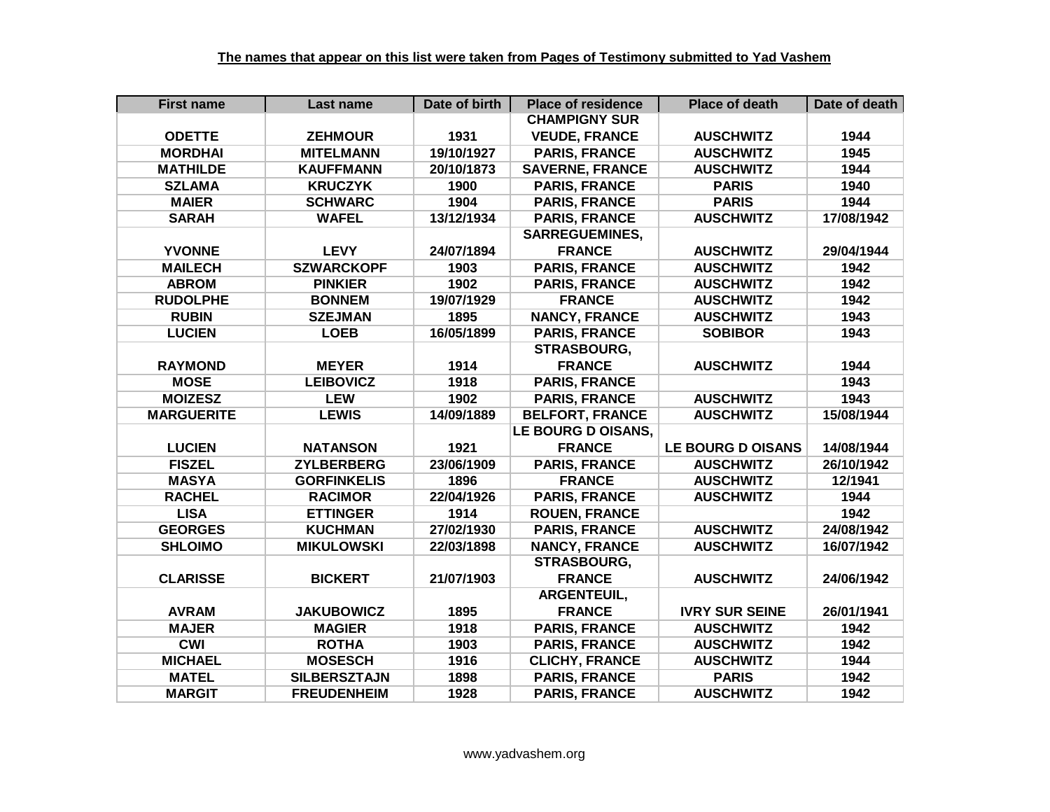| <b>First name</b> | Last name           | Date of birth | <b>Place of residence</b> | <b>Place of death</b>    | Date of death |
|-------------------|---------------------|---------------|---------------------------|--------------------------|---------------|
|                   |                     |               | <b>CHAMPIGNY SUR</b>      |                          |               |
| <b>ODETTE</b>     | <b>ZEHMOUR</b>      | 1931          | <b>VEUDE, FRANCE</b>      | <b>AUSCHWITZ</b>         | 1944          |
| <b>MORDHAI</b>    | <b>MITELMANN</b>    | 19/10/1927    | <b>PARIS, FRANCE</b>      | <b>AUSCHWITZ</b>         | 1945          |
| <b>MATHILDE</b>   | <b>KAUFFMANN</b>    | 20/10/1873    | <b>SAVERNE, FRANCE</b>    | <b>AUSCHWITZ</b>         | 1944          |
| <b>SZLAMA</b>     | <b>KRUCZYK</b>      | 1900          | <b>PARIS, FRANCE</b>      | <b>PARIS</b>             | 1940          |
| <b>MAIER</b>      | <b>SCHWARC</b>      | 1904          | <b>PARIS, FRANCE</b>      | <b>PARIS</b>             | 1944          |
| <b>SARAH</b>      | <b>WAFEL</b>        | 13/12/1934    | <b>PARIS, FRANCE</b>      | <b>AUSCHWITZ</b>         | 17/08/1942    |
|                   |                     |               | <b>SARREGUEMINES,</b>     |                          |               |
| <b>YVONNE</b>     | <b>LEVY</b>         | 24/07/1894    | <b>FRANCE</b>             | <b>AUSCHWITZ</b>         | 29/04/1944    |
| <b>MAILECH</b>    | <b>SZWARCKOPF</b>   | 1903          | <b>PARIS, FRANCE</b>      | <b>AUSCHWITZ</b>         | 1942          |
| <b>ABROM</b>      | <b>PINKIER</b>      | 1902          | <b>PARIS, FRANCE</b>      | <b>AUSCHWITZ</b>         | 1942          |
| <b>RUDOLPHE</b>   | <b>BONNEM</b>       | 19/07/1929    | <b>FRANCE</b>             | <b>AUSCHWITZ</b>         | 1942          |
| <b>RUBIN</b>      | <b>SZEJMAN</b>      | 1895          | <b>NANCY, FRANCE</b>      | <b>AUSCHWITZ</b>         | 1943          |
| <b>LUCIEN</b>     | <b>LOEB</b>         | 16/05/1899    | <b>PARIS, FRANCE</b>      | <b>SOBIBOR</b>           | 1943          |
|                   |                     |               | <b>STRASBOURG,</b>        |                          |               |
| <b>RAYMOND</b>    | <b>MEYER</b>        | 1914          | <b>FRANCE</b>             | <b>AUSCHWITZ</b>         | 1944          |
| <b>MOSE</b>       | <b>LEIBOVICZ</b>    | 1918          | <b>PARIS, FRANCE</b>      |                          | 1943          |
| <b>MOIZESZ</b>    | <b>LEW</b>          | 1902          | <b>PARIS, FRANCE</b>      | <b>AUSCHWITZ</b>         | 1943          |
| <b>MARGUERITE</b> | <b>LEWIS</b>        | 14/09/1889    | <b>BELFORT, FRANCE</b>    | <b>AUSCHWITZ</b>         | 15/08/1944    |
|                   |                     |               | LE BOURG D OISANS,        |                          |               |
| <b>LUCIEN</b>     | <b>NATANSON</b>     | 1921          | <b>FRANCE</b>             | <b>LE BOURG D OISANS</b> | 14/08/1944    |
| <b>FISZEL</b>     | <b>ZYLBERBERG</b>   | 23/06/1909    | <b>PARIS, FRANCE</b>      | <b>AUSCHWITZ</b>         | 26/10/1942    |
| <b>MASYA</b>      | <b>GORFINKELIS</b>  | 1896          | <b>FRANCE</b>             | <b>AUSCHWITZ</b>         | 12/1941       |
| <b>RACHEL</b>     | <b>RACIMOR</b>      | 22/04/1926    | <b>PARIS, FRANCE</b>      | <b>AUSCHWITZ</b>         | 1944          |
| <b>LISA</b>       | <b>ETTINGER</b>     | 1914          | <b>ROUEN, FRANCE</b>      |                          | 1942          |
| <b>GEORGES</b>    | <b>KUCHMAN</b>      | 27/02/1930    | <b>PARIS, FRANCE</b>      | <b>AUSCHWITZ</b>         | 24/08/1942    |
| <b>SHLOIMO</b>    | <b>MIKULOWSKI</b>   | 22/03/1898    | <b>NANCY, FRANCE</b>      | <b>AUSCHWITZ</b>         | 16/07/1942    |
|                   |                     |               | STRASBOURG,               |                          |               |
| <b>CLARISSE</b>   | <b>BICKERT</b>      | 21/07/1903    | <b>FRANCE</b>             | <b>AUSCHWITZ</b>         | 24/06/1942    |
|                   |                     |               | ARGENTEUIL,               |                          |               |
| <b>AVRAM</b>      | <b>JAKUBOWICZ</b>   | 1895          | <b>FRANCE</b>             | <b>IVRY SUR SEINE</b>    | 26/01/1941    |
| <b>MAJER</b>      | <b>MAGIER</b>       | 1918          | <b>PARIS, FRANCE</b>      | <b>AUSCHWITZ</b>         | 1942          |
| <b>CWI</b>        | <b>ROTHA</b>        | 1903          | <b>PARIS, FRANCE</b>      | <b>AUSCHWITZ</b>         | 1942          |
| <b>MICHAEL</b>    | <b>MOSESCH</b>      | 1916          | <b>CLICHY, FRANCE</b>     | <b>AUSCHWITZ</b>         | 1944          |
| <b>MATEL</b>      | <b>SILBERSZTAJN</b> | 1898          | <b>PARIS, FRANCE</b>      | <b>PARIS</b>             | 1942          |
| <b>MARGIT</b>     | <b>FREUDENHEIM</b>  | 1928          | <b>PARIS, FRANCE</b>      | <b>AUSCHWITZ</b>         | 1942          |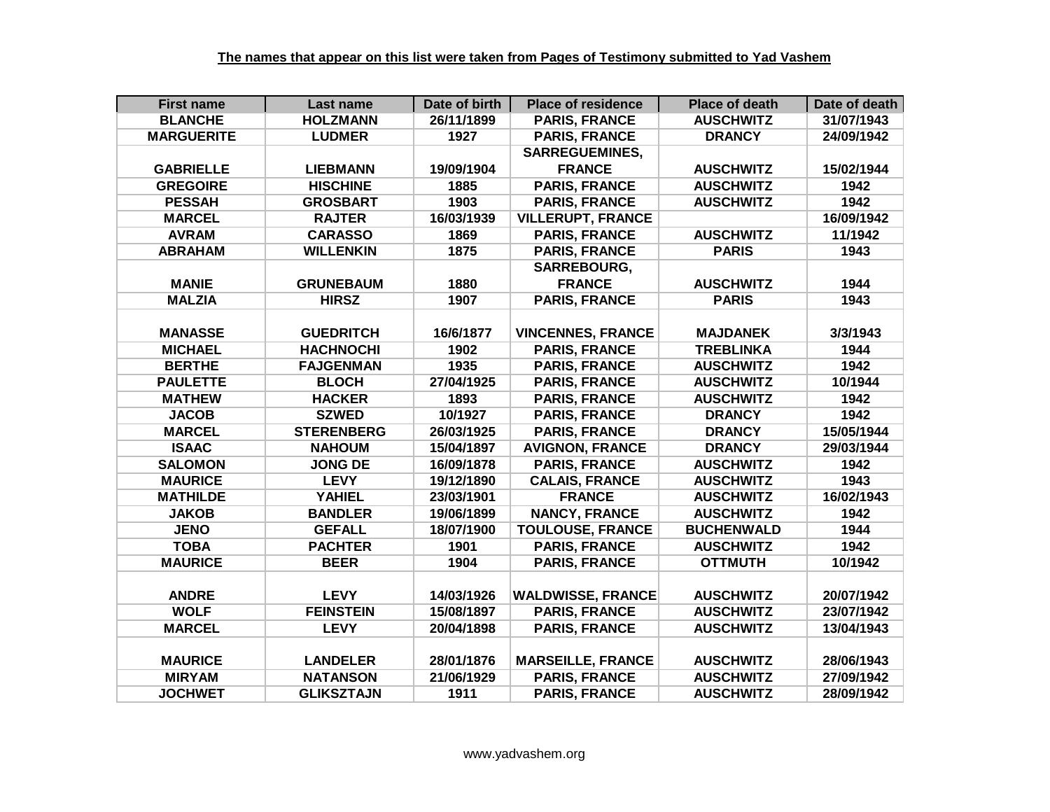| <b>First name</b> | Last name         | Date of birth | <b>Place of residence</b> | <b>Place of death</b> | Date of death |
|-------------------|-------------------|---------------|---------------------------|-----------------------|---------------|
| <b>BLANCHE</b>    | <b>HOLZMANN</b>   | 26/11/1899    | <b>PARIS, FRANCE</b>      | <b>AUSCHWITZ</b>      | 31/07/1943    |
| <b>MARGUERITE</b> | <b>LUDMER</b>     | 1927          | <b>PARIS, FRANCE</b>      | <b>DRANCY</b>         | 24/09/1942    |
|                   |                   |               | <b>SARREGUEMINES,</b>     |                       |               |
| <b>GABRIELLE</b>  | <b>LIEBMANN</b>   | 19/09/1904    | <b>FRANCE</b>             | <b>AUSCHWITZ</b>      | 15/02/1944    |
| <b>GREGOIRE</b>   | <b>HISCHINE</b>   | 1885          | <b>PARIS, FRANCE</b>      | <b>AUSCHWITZ</b>      | 1942          |
| <b>PESSAH</b>     | <b>GROSBART</b>   | 1903          | <b>PARIS, FRANCE</b>      | <b>AUSCHWITZ</b>      | 1942          |
| <b>MARCEL</b>     | <b>RAJTER</b>     | 16/03/1939    | <b>VILLERUPT, FRANCE</b>  |                       | 16/09/1942    |
| <b>AVRAM</b>      | <b>CARASSO</b>    | 1869          | <b>PARIS, FRANCE</b>      | <b>AUSCHWITZ</b>      | 11/1942       |
| <b>ABRAHAM</b>    | <b>WILLENKIN</b>  | 1875          | <b>PARIS, FRANCE</b>      | <b>PARIS</b>          | 1943          |
|                   |                   |               | <b>SARREBOURG,</b>        |                       |               |
| <b>MANIE</b>      | <b>GRUNEBAUM</b>  | 1880          | <b>FRANCE</b>             | <b>AUSCHWITZ</b>      | 1944          |
| <b>MALZIA</b>     | <b>HIRSZ</b>      | 1907          | <b>PARIS, FRANCE</b>      | <b>PARIS</b>          | 1943          |
|                   |                   |               |                           |                       |               |
| <b>MANASSE</b>    | <b>GUEDRITCH</b>  | 16/6/1877     | <b>VINCENNES, FRANCE</b>  | <b>MAJDANEK</b>       | 3/3/1943      |
| <b>MICHAEL</b>    | <b>HACHNOCHI</b>  | 1902          | <b>PARIS, FRANCE</b>      | <b>TREBLINKA</b>      | 1944          |
| <b>BERTHE</b>     | <b>FAJGENMAN</b>  | 1935          | <b>PARIS, FRANCE</b>      | <b>AUSCHWITZ</b>      | 1942          |
| <b>PAULETTE</b>   | <b>BLOCH</b>      | 27/04/1925    | <b>PARIS, FRANCE</b>      | <b>AUSCHWITZ</b>      | 10/1944       |
| <b>MATHEW</b>     | <b>HACKER</b>     | 1893          | <b>PARIS, FRANCE</b>      | <b>AUSCHWITZ</b>      | 1942          |
| <b>JACOB</b>      | <b>SZWED</b>      | 10/1927       | <b>PARIS, FRANCE</b>      | <b>DRANCY</b>         | 1942          |
| <b>MARCEL</b>     | <b>STERENBERG</b> | 26/03/1925    | <b>PARIS, FRANCE</b>      | <b>DRANCY</b>         | 15/05/1944    |
| <b>ISAAC</b>      | <b>NAHOUM</b>     | 15/04/1897    | <b>AVIGNON, FRANCE</b>    | <b>DRANCY</b>         | 29/03/1944    |
| <b>SALOMON</b>    | <b>JONG DE</b>    | 16/09/1878    | <b>PARIS, FRANCE</b>      | <b>AUSCHWITZ</b>      | 1942          |
| <b>MAURICE</b>    | <b>LEVY</b>       | 19/12/1890    | <b>CALAIS, FRANCE</b>     | <b>AUSCHWITZ</b>      | 1943          |
| <b>MATHILDE</b>   | <b>YAHIEL</b>     | 23/03/1901    | <b>FRANCE</b>             | <b>AUSCHWITZ</b>      | 16/02/1943    |
| <b>JAKOB</b>      | <b>BANDLER</b>    | 19/06/1899    | <b>NANCY, FRANCE</b>      | <b>AUSCHWITZ</b>      | 1942          |
| <b>JENO</b>       | <b>GEFALL</b>     | 18/07/1900    | <b>TOULOUSE, FRANCE</b>   | <b>BUCHENWALD</b>     | 1944          |
| <b>TOBA</b>       | <b>PACHTER</b>    | 1901          | <b>PARIS, FRANCE</b>      | <b>AUSCHWITZ</b>      | 1942          |
| <b>MAURICE</b>    | <b>BEER</b>       | 1904          | <b>PARIS, FRANCE</b>      | <b>OTTMUTH</b>        | 10/1942       |
|                   |                   |               |                           |                       |               |
| <b>ANDRE</b>      | <b>LEVY</b>       | 14/03/1926    | <b>WALDWISSE, FRANCE</b>  | <b>AUSCHWITZ</b>      | 20/07/1942    |
| <b>WOLF</b>       | <b>FEINSTEIN</b>  | 15/08/1897    | <b>PARIS, FRANCE</b>      | <b>AUSCHWITZ</b>      | 23/07/1942    |
| <b>MARCEL</b>     | <b>LEVY</b>       | 20/04/1898    | <b>PARIS, FRANCE</b>      | <b>AUSCHWITZ</b>      | 13/04/1943    |
|                   |                   |               |                           |                       |               |
| <b>MAURICE</b>    | <b>LANDELER</b>   | 28/01/1876    | <b>MARSEILLE, FRANCE</b>  | <b>AUSCHWITZ</b>      | 28/06/1943    |
| <b>MIRYAM</b>     | <b>NATANSON</b>   | 21/06/1929    | <b>PARIS, FRANCE</b>      | <b>AUSCHWITZ</b>      | 27/09/1942    |
| <b>JOCHWET</b>    | <b>GLIKSZTAJN</b> | 1911          | <b>PARIS, FRANCE</b>      | <b>AUSCHWITZ</b>      | 28/09/1942    |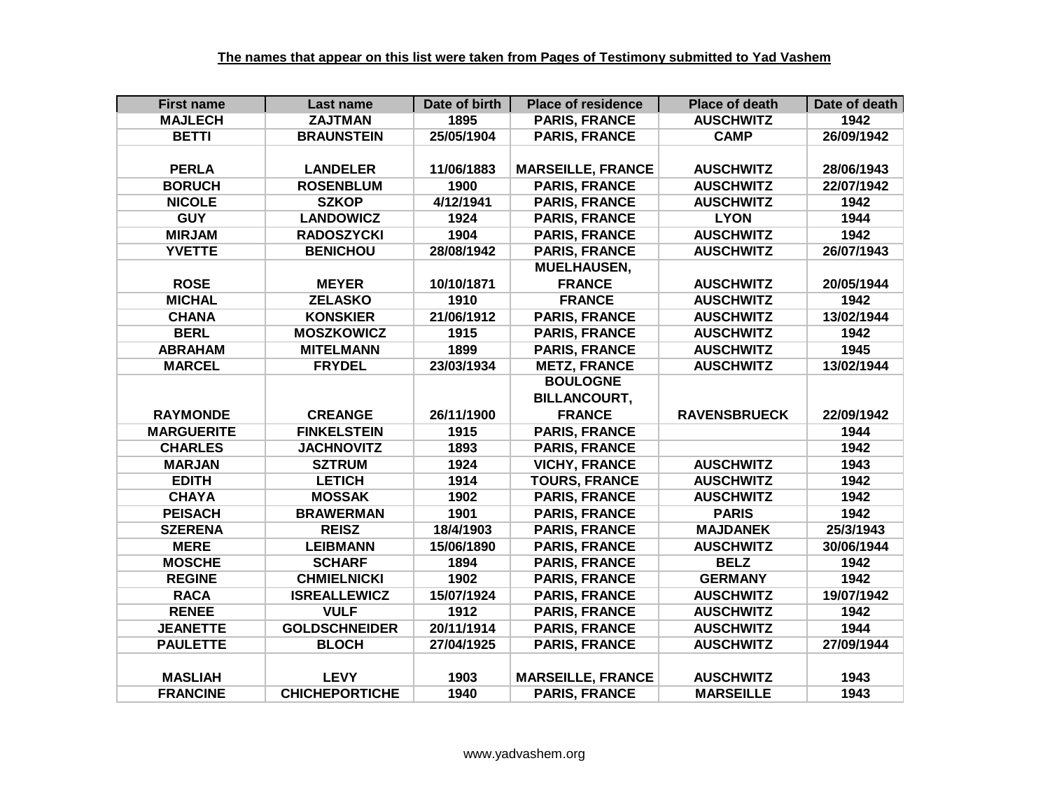| <b>First name</b> | Last name            | Date of birth | <b>Place of residence</b> | <b>Place of death</b> | Date of death |
|-------------------|----------------------|---------------|---------------------------|-----------------------|---------------|
| <b>MAJLECH</b>    | <b>ZAJTMAN</b>       | 1895          | <b>PARIS, FRANCE</b>      | <b>AUSCHWITZ</b>      | 1942          |
| <b>BETTI</b>      | <b>BRAUNSTEIN</b>    | 25/05/1904    | <b>PARIS, FRANCE</b>      | <b>CAMP</b>           | 26/09/1942    |
|                   |                      |               |                           |                       |               |
| <b>PERLA</b>      | <b>LANDELER</b>      | 11/06/1883    | <b>MARSEILLE, FRANCE</b>  | <b>AUSCHWITZ</b>      | 28/06/1943    |
| <b>BORUCH</b>     | <b>ROSENBLUM</b>     | 1900          | <b>PARIS, FRANCE</b>      | <b>AUSCHWITZ</b>      | 22/07/1942    |
| <b>NICOLE</b>     | <b>SZKOP</b>         | 4/12/1941     | <b>PARIS, FRANCE</b>      | <b>AUSCHWITZ</b>      | 1942          |
| <b>GUY</b>        | <b>LANDOWICZ</b>     | 1924          | <b>PARIS, FRANCE</b>      | <b>LYON</b>           | 1944          |
| <b>MIRJAM</b>     | <b>RADOSZYCKI</b>    | 1904          | <b>PARIS, FRANCE</b>      | <b>AUSCHWITZ</b>      | 1942          |
| <b>YVETTE</b>     | <b>BENICHOU</b>      | 28/08/1942    | <b>PARIS, FRANCE</b>      | <b>AUSCHWITZ</b>      | 26/07/1943    |
|                   |                      |               | <b>MUELHAUSEN,</b>        |                       |               |
| <b>ROSE</b>       | <b>MEYER</b>         | 10/10/1871    | <b>FRANCE</b>             | <b>AUSCHWITZ</b>      | 20/05/1944    |
| <b>MICHAL</b>     | <b>ZELASKO</b>       | 1910          | <b>FRANCE</b>             | <b>AUSCHWITZ</b>      | 1942          |
| <b>CHANA</b>      | <b>KONSKIER</b>      | 21/06/1912    | <b>PARIS, FRANCE</b>      | <b>AUSCHWITZ</b>      | 13/02/1944    |
| <b>BERL</b>       | <b>MOSZKOWICZ</b>    | 1915          | <b>PARIS, FRANCE</b>      | <b>AUSCHWITZ</b>      | 1942          |
| <b>ABRAHAM</b>    | <b>MITELMANN</b>     | 1899          | <b>PARIS, FRANCE</b>      | <b>AUSCHWITZ</b>      | 1945          |
| <b>MARCEL</b>     | <b>FRYDEL</b>        | 23/03/1934    | <b>METZ, FRANCE</b>       | <b>AUSCHWITZ</b>      | 13/02/1944    |
|                   |                      |               | <b>BOULOGNE</b>           |                       |               |
|                   |                      |               | <b>BILLANCOURT,</b>       |                       |               |
| <b>RAYMONDE</b>   | <b>CREANGE</b>       | 26/11/1900    | <b>FRANCE</b>             | <b>RAVENSBRUECK</b>   | 22/09/1942    |
| <b>MARGUERITE</b> | <b>FINKELSTEIN</b>   | 1915          | <b>PARIS, FRANCE</b>      |                       | 1944          |
| <b>CHARLES</b>    | <b>JACHNOVITZ</b>    | 1893          | <b>PARIS, FRANCE</b>      |                       | 1942          |
| <b>MARJAN</b>     | <b>SZTRUM</b>        | 1924          | <b>VICHY, FRANCE</b>      | <b>AUSCHWITZ</b>      | 1943          |
| <b>EDITH</b>      | <b>LETICH</b>        | 1914          | <b>TOURS, FRANCE</b>      | <b>AUSCHWITZ</b>      | 1942          |
| <b>CHAYA</b>      | <b>MOSSAK</b>        | 1902          | <b>PARIS, FRANCE</b>      | <b>AUSCHWITZ</b>      | 1942          |
| <b>PEISACH</b>    | <b>BRAWERMAN</b>     | 1901          | <b>PARIS, FRANCE</b>      | <b>PARIS</b>          | 1942          |
| <b>SZERENA</b>    | <b>REISZ</b>         |               |                           |                       |               |
|                   |                      | 18/4/1903     | <b>PARIS, FRANCE</b>      | <b>MAJDANEK</b>       | 25/3/1943     |
| <b>MERE</b>       | <b>LEIBMANN</b>      | 15/06/1890    | <b>PARIS, FRANCE</b>      | <b>AUSCHWITZ</b>      | 30/06/1944    |
| <b>MOSCHE</b>     | <b>SCHARF</b>        | 1894          | <b>PARIS, FRANCE</b>      | <b>BELZ</b>           | 1942          |
| <b>REGINE</b>     | <b>CHMIELNICKI</b>   | 1902          | <b>PARIS, FRANCE</b>      | <b>GERMANY</b>        | 1942          |
| <b>RACA</b>       | <b>ISREALLEWICZ</b>  | 15/07/1924    | <b>PARIS, FRANCE</b>      | <b>AUSCHWITZ</b>      | 19/07/1942    |
| <b>RENEE</b>      | <b>VULF</b>          | 1912          | <b>PARIS, FRANCE</b>      | <b>AUSCHWITZ</b>      | 1942          |
| <b>JEANETTE</b>   | <b>GOLDSCHNEIDER</b> | 20/11/1914    | <b>PARIS, FRANCE</b>      | <b>AUSCHWITZ</b>      | 1944          |
| <b>PAULETTE</b>   | <b>BLOCH</b>         | 27/04/1925    | <b>PARIS, FRANCE</b>      | <b>AUSCHWITZ</b>      | 27/09/1944    |
|                   |                      |               |                           |                       |               |
| <b>MASLIAH</b>    | <b>LEVY</b>          | 1903          | <b>MARSEILLE, FRANCE</b>  | <b>AUSCHWITZ</b>      | 1943          |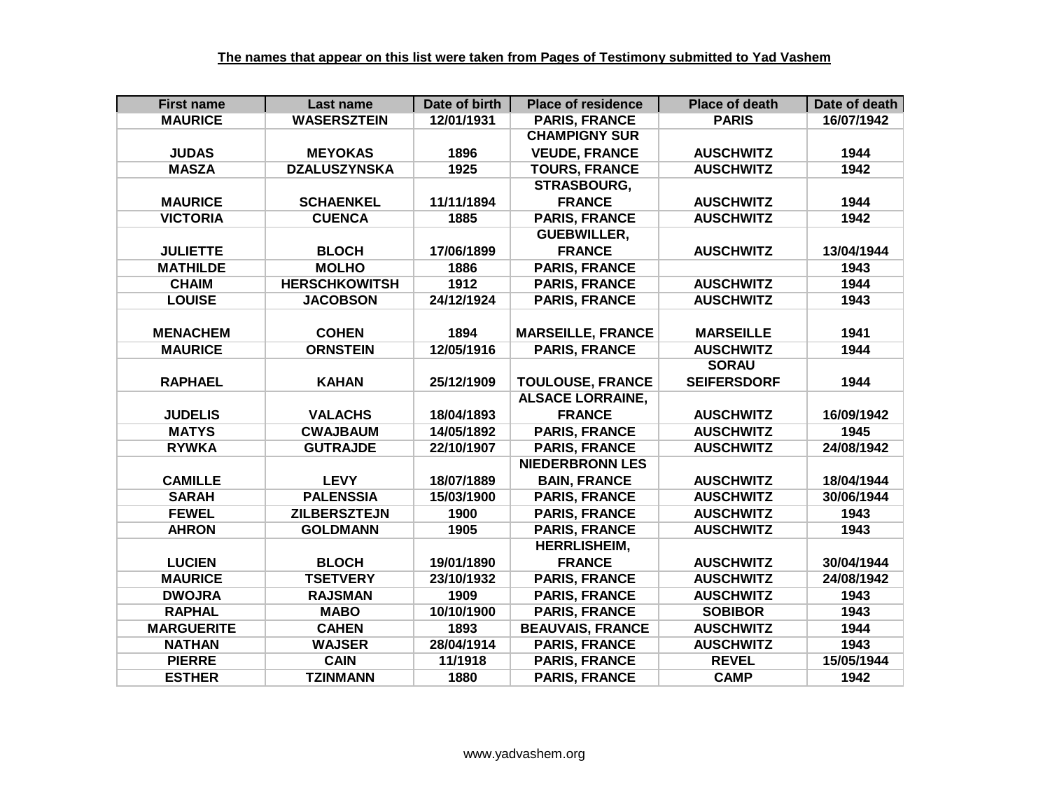| <b>First name</b> | Last name            | Date of birth | <b>Place of residence</b> | <b>Place of death</b> | Date of death |
|-------------------|----------------------|---------------|---------------------------|-----------------------|---------------|
| <b>MAURICE</b>    | <b>WASERSZTEIN</b>   | 12/01/1931    | <b>PARIS, FRANCE</b>      | <b>PARIS</b>          | 16/07/1942    |
|                   |                      |               | <b>CHAMPIGNY SUR</b>      |                       |               |
| <b>JUDAS</b>      | <b>MEYOKAS</b>       | 1896          | <b>VEUDE, FRANCE</b>      | <b>AUSCHWITZ</b>      | 1944          |
| <b>MASZA</b>      | <b>DZALUSZYNSKA</b>  | 1925          | <b>TOURS, FRANCE</b>      | <b>AUSCHWITZ</b>      | 1942          |
|                   |                      |               | STRASBOURG,               |                       |               |
| <b>MAURICE</b>    | <b>SCHAENKEL</b>     | 11/11/1894    | <b>FRANCE</b>             | <b>AUSCHWITZ</b>      | 1944          |
| <b>VICTORIA</b>   | <b>CUENCA</b>        | 1885          | <b>PARIS, FRANCE</b>      | <b>AUSCHWITZ</b>      | 1942          |
|                   |                      |               | <b>GUEBWILLER,</b>        |                       |               |
| <b>JULIETTE</b>   | <b>BLOCH</b>         | 17/06/1899    | <b>FRANCE</b>             | <b>AUSCHWITZ</b>      | 13/04/1944    |
| <b>MATHILDE</b>   | <b>MOLHO</b>         | 1886          | <b>PARIS, FRANCE</b>      |                       | 1943          |
| <b>CHAIM</b>      | <b>HERSCHKOWITSH</b> | 1912          | <b>PARIS, FRANCE</b>      | <b>AUSCHWITZ</b>      | 1944          |
| <b>LOUISE</b>     | <b>JACOBSON</b>      | 24/12/1924    | <b>PARIS, FRANCE</b>      | <b>AUSCHWITZ</b>      | 1943          |
|                   |                      |               |                           |                       |               |
| <b>MENACHEM</b>   | <b>COHEN</b>         | 1894          | <b>MARSEILLE, FRANCE</b>  | <b>MARSEILLE</b>      | 1941          |
| <b>MAURICE</b>    | <b>ORNSTEIN</b>      | 12/05/1916    | <b>PARIS, FRANCE</b>      | <b>AUSCHWITZ</b>      | 1944          |
|                   |                      |               |                           | <b>SORAU</b>          |               |
| <b>RAPHAEL</b>    | <b>KAHAN</b>         | 25/12/1909    | <b>TOULOUSE, FRANCE</b>   | <b>SEIFERSDORF</b>    | 1944          |
|                   |                      |               | <b>ALSACE LORRAINE,</b>   |                       |               |
| <b>JUDELIS</b>    | <b>VALACHS</b>       | 18/04/1893    | <b>FRANCE</b>             | <b>AUSCHWITZ</b>      | 16/09/1942    |
| <b>MATYS</b>      | <b>CWAJBAUM</b>      | 14/05/1892    | <b>PARIS, FRANCE</b>      | <b>AUSCHWITZ</b>      | 1945          |
| <b>RYWKA</b>      | <b>GUTRAJDE</b>      | 22/10/1907    | <b>PARIS, FRANCE</b>      | <b>AUSCHWITZ</b>      | 24/08/1942    |
|                   |                      |               | <b>NIEDERBRONN LES</b>    |                       |               |
| <b>CAMILLE</b>    | <b>LEVY</b>          | 18/07/1889    | <b>BAIN, FRANCE</b>       | <b>AUSCHWITZ</b>      | 18/04/1944    |
| <b>SARAH</b>      | <b>PALENSSIA</b>     | 15/03/1900    | <b>PARIS, FRANCE</b>      | <b>AUSCHWITZ</b>      | 30/06/1944    |
| <b>FEWEL</b>      | <b>ZILBERSZTEJN</b>  | 1900          | <b>PARIS, FRANCE</b>      | <b>AUSCHWITZ</b>      | 1943          |
| <b>AHRON</b>      | <b>GOLDMANN</b>      | 1905          | <b>PARIS, FRANCE</b>      | <b>AUSCHWITZ</b>      | 1943          |
|                   |                      |               | <b>HERRLISHEIM,</b>       |                       |               |
| <b>LUCIEN</b>     | <b>BLOCH</b>         | 19/01/1890    | <b>FRANCE</b>             | <b>AUSCHWITZ</b>      | 30/04/1944    |
| <b>MAURICE</b>    | <b>TSETVERY</b>      | 23/10/1932    | <b>PARIS, FRANCE</b>      | <b>AUSCHWITZ</b>      | 24/08/1942    |
| <b>DWOJRA</b>     | <b>RAJSMAN</b>       | 1909          | <b>PARIS, FRANCE</b>      | <b>AUSCHWITZ</b>      | 1943          |
| <b>RAPHAL</b>     | <b>MABO</b>          | 10/10/1900    | <b>PARIS, FRANCE</b>      | <b>SOBIBOR</b>        | 1943          |
| <b>MARGUERITE</b> | <b>CAHEN</b>         | 1893          | <b>BEAUVAIS, FRANCE</b>   | <b>AUSCHWITZ</b>      | 1944          |
| <b>NATHAN</b>     | <b>WAJSER</b>        | 28/04/1914    | <b>PARIS, FRANCE</b>      | <b>AUSCHWITZ</b>      | 1943          |
| <b>PIERRE</b>     | <b>CAIN</b>          | 11/1918       | <b>PARIS, FRANCE</b>      | <b>REVEL</b>          | 15/05/1944    |
| <b>ESTHER</b>     | <b>TZINMANN</b>      | 1880          | <b>PARIS, FRANCE</b>      | <b>CAMP</b>           | 1942          |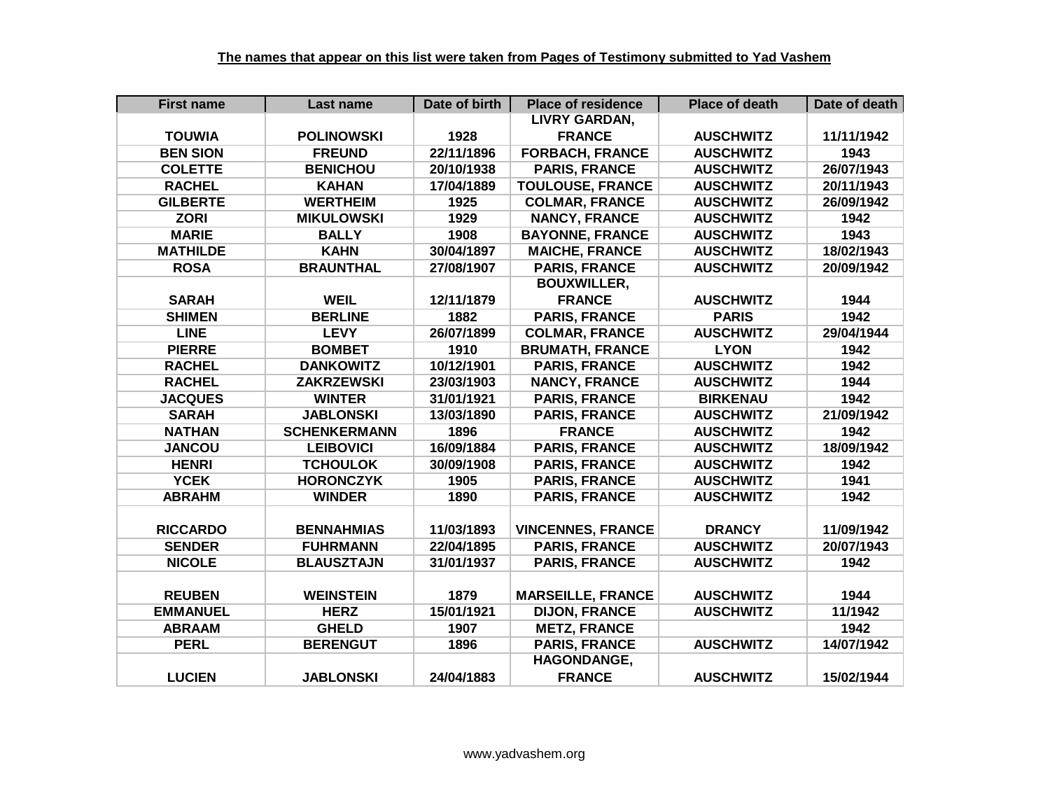| <b>First name</b> | Last name           | Date of birth | <b>Place of residence</b> | <b>Place of death</b> | Date of death |
|-------------------|---------------------|---------------|---------------------------|-----------------------|---------------|
|                   |                     |               | <b>LIVRY GARDAN,</b>      |                       |               |
| <b>TOUWIA</b>     | <b>POLINOWSKI</b>   | 1928          | <b>FRANCE</b>             | <b>AUSCHWITZ</b>      | 11/11/1942    |
| <b>BEN SION</b>   | <b>FREUND</b>       | 22/11/1896    | <b>FORBACH, FRANCE</b>    | <b>AUSCHWITZ</b>      | 1943          |
| <b>COLETTE</b>    | <b>BENICHOU</b>     | 20/10/1938    | <b>PARIS, FRANCE</b>      | <b>AUSCHWITZ</b>      | 26/07/1943    |
| <b>RACHEL</b>     | <b>KAHAN</b>        | 17/04/1889    | <b>TOULOUSE, FRANCE</b>   | <b>AUSCHWITZ</b>      | 20/11/1943    |
| <b>GILBERTE</b>   | <b>WERTHEIM</b>     | 1925          | <b>COLMAR, FRANCE</b>     | <b>AUSCHWITZ</b>      | 26/09/1942    |
| <b>ZORI</b>       | <b>MIKULOWSKI</b>   | 1929          | <b>NANCY, FRANCE</b>      | <b>AUSCHWITZ</b>      | 1942          |
| <b>MARIE</b>      | <b>BALLY</b>        | 1908          | <b>BAYONNE, FRANCE</b>    | <b>AUSCHWITZ</b>      | 1943          |
| <b>MATHILDE</b>   | <b>KAHN</b>         | 30/04/1897    | <b>MAICHE, FRANCE</b>     | <b>AUSCHWITZ</b>      | 18/02/1943    |
| <b>ROSA</b>       | <b>BRAUNTHAL</b>    | 27/08/1907    | <b>PARIS, FRANCE</b>      | <b>AUSCHWITZ</b>      | 20/09/1942    |
|                   |                     |               | <b>BOUXWILLER,</b>        |                       |               |
| <b>SARAH</b>      | <b>WEIL</b>         | 12/11/1879    | <b>FRANCE</b>             | <b>AUSCHWITZ</b>      | 1944          |
| <b>SHIMEN</b>     | <b>BERLINE</b>      | 1882          | <b>PARIS, FRANCE</b>      | <b>PARIS</b>          | 1942          |
| <b>LINE</b>       | <b>LEVY</b>         | 26/07/1899    | <b>COLMAR, FRANCE</b>     | <b>AUSCHWITZ</b>      | 29/04/1944    |
| <b>PIERRE</b>     | <b>BOMBET</b>       | 1910          | <b>BRUMATH, FRANCE</b>    | <b>LYON</b>           | 1942          |
| <b>RACHEL</b>     | <b>DANKOWITZ</b>    | 10/12/1901    | <b>PARIS, FRANCE</b>      | <b>AUSCHWITZ</b>      | 1942          |
| <b>RACHEL</b>     | <b>ZAKRZEWSKI</b>   | 23/03/1903    | <b>NANCY, FRANCE</b>      | <b>AUSCHWITZ</b>      | 1944          |
| <b>JACQUES</b>    | <b>WINTER</b>       | 31/01/1921    | <b>PARIS, FRANCE</b>      | <b>BIRKENAU</b>       | 1942          |
| <b>SARAH</b>      | <b>JABLONSKI</b>    | 13/03/1890    | <b>PARIS, FRANCE</b>      | <b>AUSCHWITZ</b>      | 21/09/1942    |
| <b>NATHAN</b>     | <b>SCHENKERMANN</b> | 1896          | <b>FRANCE</b>             | <b>AUSCHWITZ</b>      | 1942          |
| <b>JANCOU</b>     | <b>LEIBOVICI</b>    | 16/09/1884    | <b>PARIS, FRANCE</b>      | <b>AUSCHWITZ</b>      | 18/09/1942    |
| <b>HENRI</b>      | <b>TCHOULOK</b>     | 30/09/1908    | <b>PARIS, FRANCE</b>      | <b>AUSCHWITZ</b>      | 1942          |
| <b>YCEK</b>       | <b>HORONCZYK</b>    | 1905          | <b>PARIS, FRANCE</b>      | <b>AUSCHWITZ</b>      | 1941          |
| <b>ABRAHM</b>     | <b>WINDER</b>       | 1890          | <b>PARIS, FRANCE</b>      | <b>AUSCHWITZ</b>      | 1942          |
|                   |                     |               |                           |                       |               |
| <b>RICCARDO</b>   | <b>BENNAHMIAS</b>   | 11/03/1893    | <b>VINCENNES, FRANCE</b>  | <b>DRANCY</b>         | 11/09/1942    |
| <b>SENDER</b>     | <b>FUHRMANN</b>     | 22/04/1895    | <b>PARIS, FRANCE</b>      | <b>AUSCHWITZ</b>      | 20/07/1943    |
| <b>NICOLE</b>     | <b>BLAUSZTAJN</b>   | 31/01/1937    | <b>PARIS, FRANCE</b>      | <b>AUSCHWITZ</b>      | 1942          |
|                   |                     |               |                           |                       |               |
| <b>REUBEN</b>     | <b>WEINSTEIN</b>    | 1879          | <b>MARSEILLE, FRANCE</b>  | <b>AUSCHWITZ</b>      | 1944          |
| <b>EMMANUEL</b>   | <b>HERZ</b>         | 15/01/1921    | <b>DIJON, FRANCE</b>      | <b>AUSCHWITZ</b>      | 11/1942       |
| <b>ABRAAM</b>     | <b>GHELD</b>        | 1907          | <b>METZ, FRANCE</b>       |                       | 1942          |
| <b>PERL</b>       | <b>BERENGUT</b>     | 1896          | <b>PARIS, FRANCE</b>      | <b>AUSCHWITZ</b>      | 14/07/1942    |
|                   |                     |               | <b>HAGONDANGE,</b>        |                       |               |
| <b>LUCIEN</b>     | <b>JABLONSKI</b>    | 24/04/1883    | <b>FRANCE</b>             | <b>AUSCHWITZ</b>      | 15/02/1944    |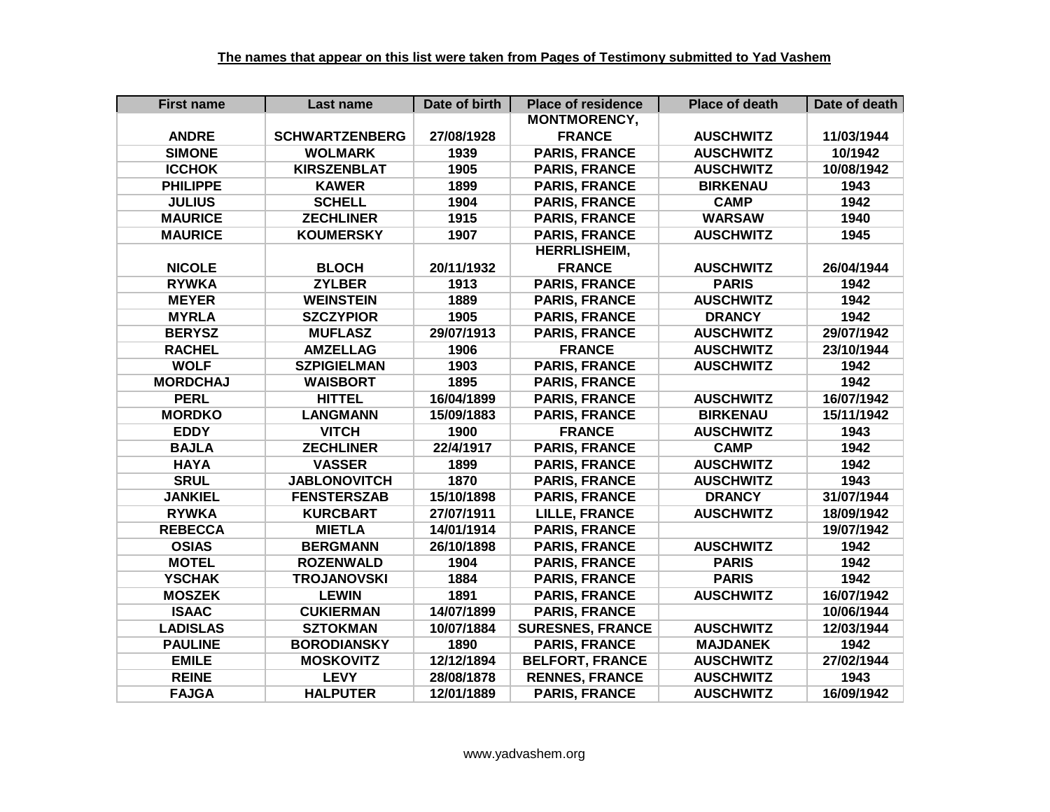| <b>First name</b> | Last name             | Date of birth | <b>Place of residence</b> | <b>Place of death</b> | Date of death |
|-------------------|-----------------------|---------------|---------------------------|-----------------------|---------------|
|                   |                       |               | <b>MONTMORENCY,</b>       |                       |               |
| <b>ANDRE</b>      | <b>SCHWARTZENBERG</b> | 27/08/1928    | <b>FRANCE</b>             | <b>AUSCHWITZ</b>      | 11/03/1944    |
| <b>SIMONE</b>     | <b>WOLMARK</b>        | 1939          | <b>PARIS, FRANCE</b>      | <b>AUSCHWITZ</b>      | 10/1942       |
| <b>ICCHOK</b>     | <b>KIRSZENBLAT</b>    | 1905          | <b>PARIS, FRANCE</b>      | <b>AUSCHWITZ</b>      | 10/08/1942    |
| <b>PHILIPPE</b>   | <b>KAWER</b>          | 1899          | <b>PARIS, FRANCE</b>      | <b>BIRKENAU</b>       | 1943          |
| <b>JULIUS</b>     | <b>SCHELL</b>         | 1904          | <b>PARIS, FRANCE</b>      | <b>CAMP</b>           | 1942          |
| <b>MAURICE</b>    | <b>ZECHLINER</b>      | 1915          | <b>PARIS, FRANCE</b>      | <b>WARSAW</b>         | 1940          |
| <b>MAURICE</b>    | <b>KOUMERSKY</b>      | 1907          | <b>PARIS, FRANCE</b>      | <b>AUSCHWITZ</b>      | 1945          |
|                   |                       |               | <b>HERRLISHEIM,</b>       |                       |               |
| <b>NICOLE</b>     | <b>BLOCH</b>          | 20/11/1932    | <b>FRANCE</b>             | <b>AUSCHWITZ</b>      | 26/04/1944    |
| <b>RYWKA</b>      | <b>ZYLBER</b>         | 1913          | <b>PARIS, FRANCE</b>      | <b>PARIS</b>          | 1942          |
| <b>MEYER</b>      | <b>WEINSTEIN</b>      | 1889          | <b>PARIS, FRANCE</b>      | <b>AUSCHWITZ</b>      | 1942          |
| <b>MYRLA</b>      | <b>SZCZYPIOR</b>      | 1905          | <b>PARIS, FRANCE</b>      | <b>DRANCY</b>         | 1942          |
| <b>BERYSZ</b>     | <b>MUFLASZ</b>        | 29/07/1913    | <b>PARIS, FRANCE</b>      | <b>AUSCHWITZ</b>      | 29/07/1942    |
| <b>RACHEL</b>     | <b>AMZELLAG</b>       | 1906          | <b>FRANCE</b>             | <b>AUSCHWITZ</b>      | 23/10/1944    |
| <b>WOLF</b>       | <b>SZPIGIELMAN</b>    | 1903          | <b>PARIS, FRANCE</b>      | <b>AUSCHWITZ</b>      | 1942          |
| <b>MORDCHAJ</b>   | <b>WAISBORT</b>       | 1895          | <b>PARIS, FRANCE</b>      |                       | 1942          |
| <b>PERL</b>       | <b>HITTEL</b>         | 16/04/1899    | <b>PARIS, FRANCE</b>      | <b>AUSCHWITZ</b>      | 16/07/1942    |
| <b>MORDKO</b>     | <b>LANGMANN</b>       | 15/09/1883    | <b>PARIS, FRANCE</b>      | <b>BIRKENAU</b>       | 15/11/1942    |
| <b>EDDY</b>       | <b>VITCH</b>          | 1900          | <b>FRANCE</b>             | <b>AUSCHWITZ</b>      | 1943          |
| <b>BAJLA</b>      | <b>ZECHLINER</b>      | 22/4/1917     | <b>PARIS, FRANCE</b>      | <b>CAMP</b>           | 1942          |
| <b>HAYA</b>       | <b>VASSER</b>         | 1899          | <b>PARIS, FRANCE</b>      | <b>AUSCHWITZ</b>      | 1942          |
| <b>SRUL</b>       | <b>JABLONOVITCH</b>   | 1870          | <b>PARIS, FRANCE</b>      | <b>AUSCHWITZ</b>      | 1943          |
| <b>JANKIEL</b>    | <b>FENSTERSZAB</b>    | 15/10/1898    | <b>PARIS, FRANCE</b>      | <b>DRANCY</b>         | 31/07/1944    |
| <b>RYWKA</b>      | <b>KURCBART</b>       | 27/07/1911    | <b>LILLE, FRANCE</b>      | <b>AUSCHWITZ</b>      | 18/09/1942    |
| <b>REBECCA</b>    | <b>MIETLA</b>         | 14/01/1914    | <b>PARIS, FRANCE</b>      |                       | 19/07/1942    |
| <b>OSIAS</b>      | <b>BERGMANN</b>       | 26/10/1898    | <b>PARIS, FRANCE</b>      | <b>AUSCHWITZ</b>      | 1942          |
| <b>MOTEL</b>      | <b>ROZENWALD</b>      | 1904          | <b>PARIS, FRANCE</b>      | <b>PARIS</b>          | 1942          |
| <b>YSCHAK</b>     | <b>TROJANOVSKI</b>    | 1884          | <b>PARIS, FRANCE</b>      | <b>PARIS</b>          | 1942          |
| <b>MOSZEK</b>     | <b>LEWIN</b>          | 1891          | <b>PARIS, FRANCE</b>      | <b>AUSCHWITZ</b>      | 16/07/1942    |
| <b>ISAAC</b>      | <b>CUKIERMAN</b>      | 14/07/1899    | <b>PARIS, FRANCE</b>      |                       | 10/06/1944    |
| <b>LADISLAS</b>   | <b>SZTOKMAN</b>       | 10/07/1884    | <b>SURESNES, FRANCE</b>   | <b>AUSCHWITZ</b>      | 12/03/1944    |
| <b>PAULINE</b>    | <b>BORODIANSKY</b>    | 1890          | <b>PARIS, FRANCE</b>      | <b>MAJDANEK</b>       | 1942          |
| <b>EMILE</b>      | <b>MOSKOVITZ</b>      | 12/12/1894    | <b>BELFORT, FRANCE</b>    | <b>AUSCHWITZ</b>      | 27/02/1944    |
| <b>REINE</b>      | <b>LEVY</b>           | 28/08/1878    | <b>RENNES, FRANCE</b>     | <b>AUSCHWITZ</b>      | 1943          |
| <b>FAJGA</b>      | <b>HALPUTER</b>       | 12/01/1889    | <b>PARIS, FRANCE</b>      | <b>AUSCHWITZ</b>      | 16/09/1942    |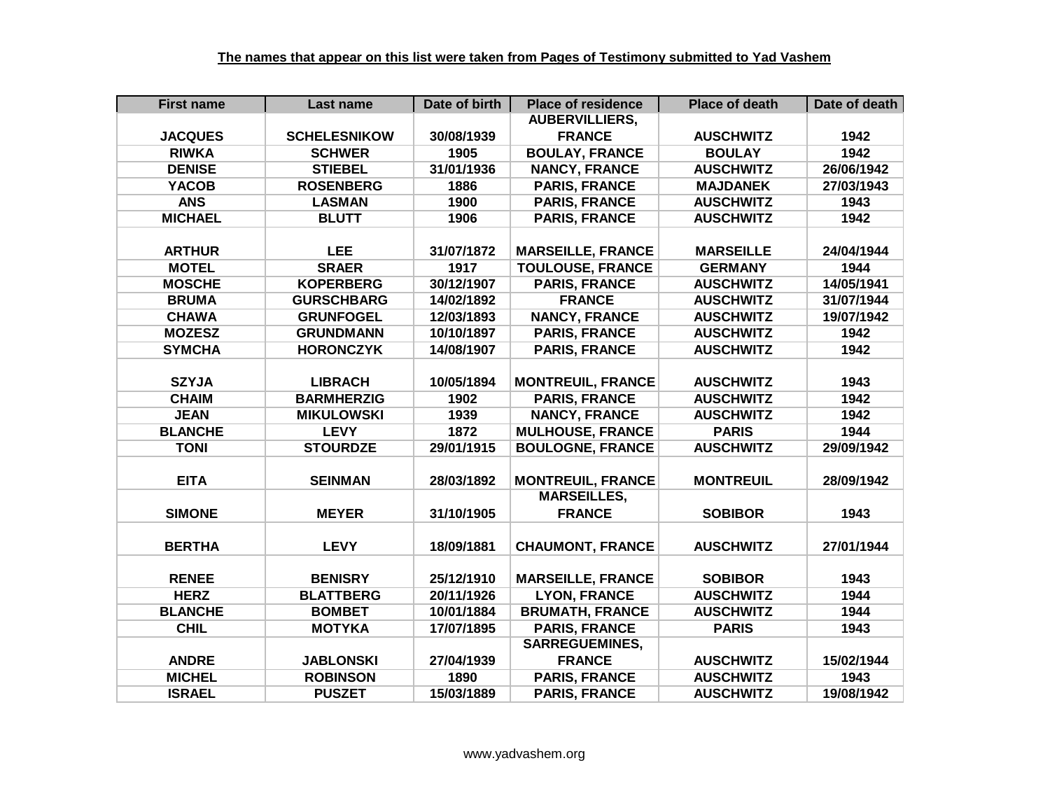| <b>First name</b> | Last name           | Date of birth | <b>Place of residence</b> | <b>Place of death</b> | Date of death |
|-------------------|---------------------|---------------|---------------------------|-----------------------|---------------|
|                   |                     |               | <b>AUBERVILLIERS,</b>     |                       |               |
| <b>JACQUES</b>    | <b>SCHELESNIKOW</b> | 30/08/1939    | <b>FRANCE</b>             | <b>AUSCHWITZ</b>      | 1942          |
| <b>RIWKA</b>      | <b>SCHWER</b>       | 1905          | <b>BOULAY, FRANCE</b>     | <b>BOULAY</b>         | 1942          |
| <b>DENISE</b>     | <b>STIEBEL</b>      | 31/01/1936    | <b>NANCY, FRANCE</b>      | <b>AUSCHWITZ</b>      | 26/06/1942    |
| <b>YACOB</b>      | <b>ROSENBERG</b>    | 1886          | <b>PARIS, FRANCE</b>      | <b>MAJDANEK</b>       | 27/03/1943    |
| <b>ANS</b>        | <b>LASMAN</b>       | 1900          | <b>PARIS, FRANCE</b>      | <b>AUSCHWITZ</b>      | 1943          |
| <b>MICHAEL</b>    | <b>BLUTT</b>        | 1906          | <b>PARIS, FRANCE</b>      | <b>AUSCHWITZ</b>      | 1942          |
|                   |                     |               |                           |                       |               |
| <b>ARTHUR</b>     | <b>LEE</b>          | 31/07/1872    | <b>MARSEILLE, FRANCE</b>  | <b>MARSEILLE</b>      | 24/04/1944    |
| <b>MOTEL</b>      | <b>SRAER</b>        | 1917          | <b>TOULOUSE, FRANCE</b>   | <b>GERMANY</b>        | 1944          |
| <b>MOSCHE</b>     | <b>KOPERBERG</b>    | 30/12/1907    | <b>PARIS, FRANCE</b>      | <b>AUSCHWITZ</b>      | 14/05/1941    |
| <b>BRUMA</b>      | <b>GURSCHBARG</b>   | 14/02/1892    | <b>FRANCE</b>             | <b>AUSCHWITZ</b>      | 31/07/1944    |
| <b>CHAWA</b>      | <b>GRUNFOGEL</b>    | 12/03/1893    | <b>NANCY, FRANCE</b>      | <b>AUSCHWITZ</b>      | 19/07/1942    |
| <b>MOZESZ</b>     | <b>GRUNDMANN</b>    | 10/10/1897    | <b>PARIS, FRANCE</b>      | <b>AUSCHWITZ</b>      | 1942          |
| <b>SYMCHA</b>     | <b>HORONCZYK</b>    | 14/08/1907    | <b>PARIS, FRANCE</b>      | <b>AUSCHWITZ</b>      | 1942          |
|                   |                     |               |                           |                       |               |
| <b>SZYJA</b>      | <b>LIBRACH</b>      | 10/05/1894    | <b>MONTREUIL, FRANCE</b>  | <b>AUSCHWITZ</b>      | 1943          |
| <b>CHAIM</b>      | <b>BARMHERZIG</b>   | 1902          | <b>PARIS, FRANCE</b>      | <b>AUSCHWITZ</b>      | 1942          |
| <b>JEAN</b>       | <b>MIKULOWSKI</b>   | 1939          | <b>NANCY, FRANCE</b>      | <b>AUSCHWITZ</b>      | 1942          |
| <b>BLANCHE</b>    | <b>LEVY</b>         | 1872          | <b>MULHOUSE, FRANCE</b>   | <b>PARIS</b>          | 1944          |
| <b>TONI</b>       | <b>STOURDZE</b>     | 29/01/1915    | <b>BOULOGNE, FRANCE</b>   | <b>AUSCHWITZ</b>      | 29/09/1942    |
|                   |                     |               |                           |                       |               |
| <b>EITA</b>       | <b>SEINMAN</b>      | 28/03/1892    | <b>MONTREUIL, FRANCE</b>  | <b>MONTREUIL</b>      | 28/09/1942    |
|                   |                     |               | <b>MARSEILLES,</b>        |                       |               |
| <b>SIMONE</b>     | <b>MEYER</b>        | 31/10/1905    | <b>FRANCE</b>             | <b>SOBIBOR</b>        | 1943          |
|                   |                     |               |                           |                       |               |
| <b>BERTHA</b>     | <b>LEVY</b>         | 18/09/1881    | <b>CHAUMONT, FRANCE</b>   | <b>AUSCHWITZ</b>      | 27/01/1944    |
|                   |                     |               |                           |                       |               |
| <b>RENEE</b>      | <b>BENISRY</b>      | 25/12/1910    | <b>MARSEILLE, FRANCE</b>  | <b>SOBIBOR</b>        | 1943          |
| <b>HERZ</b>       | <b>BLATTBERG</b>    | 20/11/1926    | <b>LYON, FRANCE</b>       | <b>AUSCHWITZ</b>      | 1944          |
| <b>BLANCHE</b>    | <b>BOMBET</b>       | 10/01/1884    | <b>BRUMATH, FRANCE</b>    | <b>AUSCHWITZ</b>      | 1944          |
| <b>CHIL</b>       | <b>MOTYKA</b>       | 17/07/1895    | <b>PARIS, FRANCE</b>      | <b>PARIS</b>          | 1943          |
|                   |                     |               | <b>SARREGUEMINES,</b>     |                       |               |
| <b>ANDRE</b>      | <b>JABLONSKI</b>    | 27/04/1939    | <b>FRANCE</b>             | <b>AUSCHWITZ</b>      | 15/02/1944    |
| <b>MICHEL</b>     | <b>ROBINSON</b>     | 1890          | <b>PARIS, FRANCE</b>      | <b>AUSCHWITZ</b>      | 1943          |
| <b>ISRAEL</b>     | <b>PUSZET</b>       | 15/03/1889    | <b>PARIS, FRANCE</b>      | <b>AUSCHWITZ</b>      | 19/08/1942    |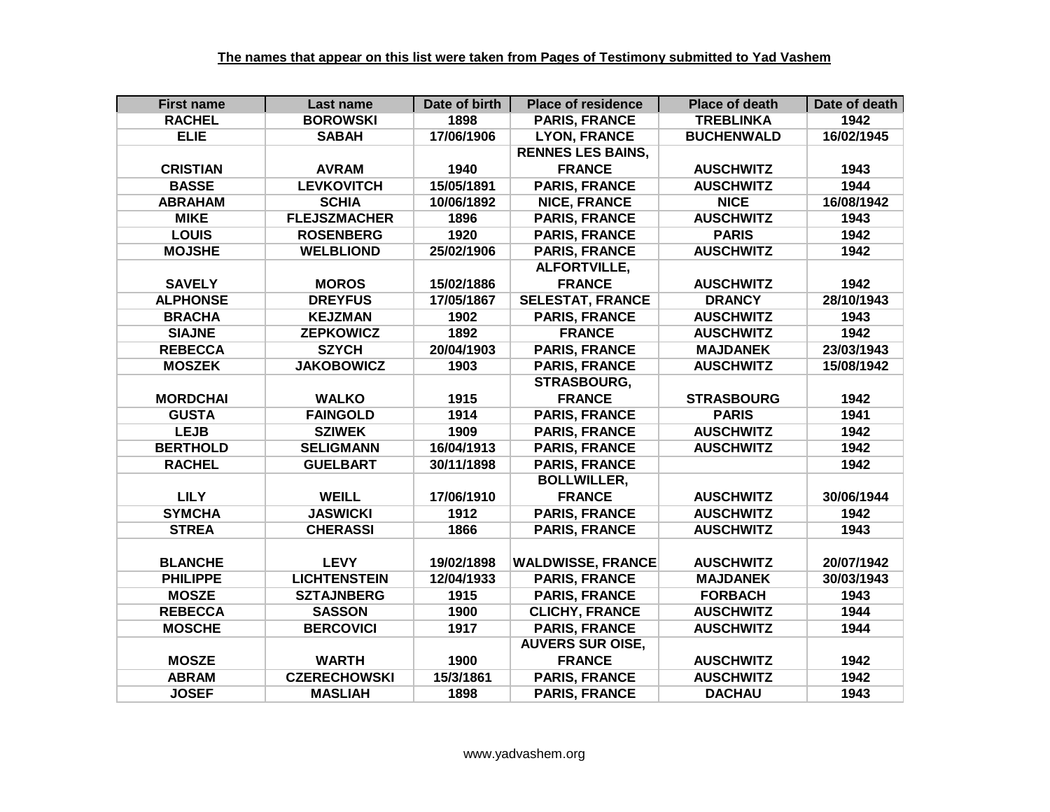| <b>First name</b> | Last name           | Date of birth | <b>Place of residence</b> | <b>Place of death</b> | Date of death |
|-------------------|---------------------|---------------|---------------------------|-----------------------|---------------|
| <b>RACHEL</b>     | <b>BOROWSKI</b>     | 1898          | <b>PARIS, FRANCE</b>      | <b>TREBLINKA</b>      | 1942          |
| <b>ELIE</b>       | <b>SABAH</b>        | 17/06/1906    | <b>LYON, FRANCE</b>       | <b>BUCHENWALD</b>     | 16/02/1945    |
|                   |                     |               | <b>RENNES LES BAINS,</b>  |                       |               |
| <b>CRISTIAN</b>   | <b>AVRAM</b>        | 1940          | <b>FRANCE</b>             | <b>AUSCHWITZ</b>      | 1943          |
| <b>BASSE</b>      | <b>LEVKOVITCH</b>   | 15/05/1891    | <b>PARIS, FRANCE</b>      | <b>AUSCHWITZ</b>      | 1944          |
| <b>ABRAHAM</b>    | <b>SCHIA</b>        | 10/06/1892    | <b>NICE, FRANCE</b>       | <b>NICE</b>           | 16/08/1942    |
| <b>MIKE</b>       | <b>FLEJSZMACHER</b> | 1896          | <b>PARIS, FRANCE</b>      | <b>AUSCHWITZ</b>      | 1943          |
| <b>LOUIS</b>      | <b>ROSENBERG</b>    | 1920          | <b>PARIS, FRANCE</b>      | <b>PARIS</b>          | 1942          |
| <b>MOJSHE</b>     | <b>WELBLIOND</b>    | 25/02/1906    | <b>PARIS, FRANCE</b>      | <b>AUSCHWITZ</b>      | 1942          |
|                   |                     |               | <b>ALFORTVILLE,</b>       |                       |               |
| <b>SAVELY</b>     | <b>MOROS</b>        | 15/02/1886    | <b>FRANCE</b>             | <b>AUSCHWITZ</b>      | 1942          |
| <b>ALPHONSE</b>   | <b>DREYFUS</b>      | 17/05/1867    | <b>SELESTAT, FRANCE</b>   | <b>DRANCY</b>         | 28/10/1943    |
| <b>BRACHA</b>     | <b>KEJZMAN</b>      | 1902          | <b>PARIS, FRANCE</b>      | <b>AUSCHWITZ</b>      | 1943          |
| <b>SIAJNE</b>     | <b>ZEPKOWICZ</b>    | 1892          | <b>FRANCE</b>             | <b>AUSCHWITZ</b>      | 1942          |
| <b>REBECCA</b>    | <b>SZYCH</b>        | 20/04/1903    | <b>PARIS, FRANCE</b>      | <b>MAJDANEK</b>       | 23/03/1943    |
| <b>MOSZEK</b>     | <b>JAKOBOWICZ</b>   | 1903          | <b>PARIS, FRANCE</b>      | <b>AUSCHWITZ</b>      | 15/08/1942    |
|                   |                     |               | <b>STRASBOURG,</b>        |                       |               |
| <b>MORDCHAI</b>   | <b>WALKO</b>        | 1915          | <b>FRANCE</b>             | <b>STRASBOURG</b>     | 1942          |
| <b>GUSTA</b>      | <b>FAINGOLD</b>     | 1914          | <b>PARIS, FRANCE</b>      | <b>PARIS</b>          | 1941          |
| <b>LEJB</b>       | <b>SZIWEK</b>       | 1909          | <b>PARIS, FRANCE</b>      | <b>AUSCHWITZ</b>      | 1942          |
| <b>BERTHOLD</b>   | <b>SELIGMANN</b>    | 16/04/1913    | <b>PARIS, FRANCE</b>      | <b>AUSCHWITZ</b>      | 1942          |
| <b>RACHEL</b>     | <b>GUELBART</b>     | 30/11/1898    | <b>PARIS, FRANCE</b>      |                       | 1942          |
|                   |                     |               | <b>BOLLWILLER,</b>        |                       |               |
| <b>LILY</b>       | <b>WEILL</b>        | 17/06/1910    | <b>FRANCE</b>             | <b>AUSCHWITZ</b>      | 30/06/1944    |
| <b>SYMCHA</b>     | <b>JASWICKI</b>     | 1912          | <b>PARIS, FRANCE</b>      | <b>AUSCHWITZ</b>      | 1942          |
| <b>STREA</b>      | <b>CHERASSI</b>     | 1866          | <b>PARIS, FRANCE</b>      | <b>AUSCHWITZ</b>      | 1943          |
|                   |                     |               |                           |                       |               |
| <b>BLANCHE</b>    | <b>LEVY</b>         | 19/02/1898    | <b>WALDWISSE, FRANCE</b>  | <b>AUSCHWITZ</b>      | 20/07/1942    |
| <b>PHILIPPE</b>   | <b>LICHTENSTEIN</b> | 12/04/1933    | <b>PARIS, FRANCE</b>      | <b>MAJDANEK</b>       | 30/03/1943    |
| <b>MOSZE</b>      | <b>SZTAJNBERG</b>   | 1915          | <b>PARIS, FRANCE</b>      | <b>FORBACH</b>        | 1943          |
| <b>REBECCA</b>    | <b>SASSON</b>       | 1900          | <b>CLICHY, FRANCE</b>     | <b>AUSCHWITZ</b>      | 1944          |
| <b>MOSCHE</b>     | <b>BERCOVICI</b>    | 1917          | <b>PARIS, FRANCE</b>      | <b>AUSCHWITZ</b>      | 1944          |
|                   |                     |               | <b>AUVERS SUR OISE,</b>   |                       |               |
| <b>MOSZE</b>      | <b>WARTH</b>        | 1900          | <b>FRANCE</b>             | <b>AUSCHWITZ</b>      | 1942          |
| <b>ABRAM</b>      | <b>CZERECHOWSKI</b> | 15/3/1861     | <b>PARIS, FRANCE</b>      | <b>AUSCHWITZ</b>      | 1942          |
| <b>JOSEF</b>      | <b>MASLIAH</b>      | 1898          | <b>PARIS, FRANCE</b>      | <b>DACHAU</b>         | 1943          |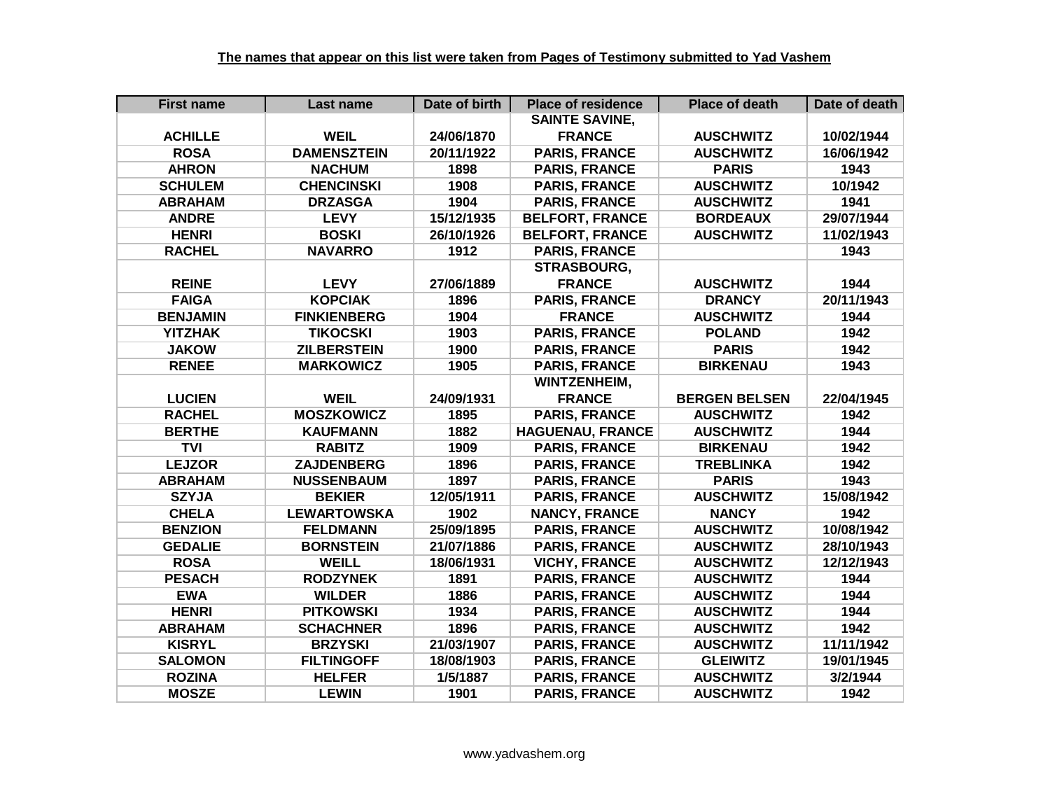| <b>First name</b> | Last name          | Date of birth | <b>Place of residence</b> | <b>Place of death</b> | Date of death |
|-------------------|--------------------|---------------|---------------------------|-----------------------|---------------|
|                   |                    |               | <b>SAINTE SAVINE,</b>     |                       |               |
| <b>ACHILLE</b>    | <b>WEIL</b>        | 24/06/1870    | <b>FRANCE</b>             | <b>AUSCHWITZ</b>      | 10/02/1944    |
| <b>ROSA</b>       | <b>DAMENSZTEIN</b> | 20/11/1922    | <b>PARIS, FRANCE</b>      | <b>AUSCHWITZ</b>      | 16/06/1942    |
| <b>AHRON</b>      | <b>NACHUM</b>      | 1898          | <b>PARIS, FRANCE</b>      | <b>PARIS</b>          | 1943          |
| <b>SCHULEM</b>    | <b>CHENCINSKI</b>  | 1908          | <b>PARIS, FRANCE</b>      | <b>AUSCHWITZ</b>      | 10/1942       |
| <b>ABRAHAM</b>    | <b>DRZASGA</b>     | 1904          | <b>PARIS, FRANCE</b>      | <b>AUSCHWITZ</b>      | 1941          |
| <b>ANDRE</b>      | <b>LEVY</b>        | 15/12/1935    | <b>BELFORT, FRANCE</b>    | <b>BORDEAUX</b>       | 29/07/1944    |
| <b>HENRI</b>      | <b>BOSKI</b>       | 26/10/1926    | <b>BELFORT, FRANCE</b>    | <b>AUSCHWITZ</b>      | 11/02/1943    |
| <b>RACHEL</b>     | <b>NAVARRO</b>     | 1912          | <b>PARIS, FRANCE</b>      |                       | 1943          |
|                   |                    |               | <b>STRASBOURG,</b>        |                       |               |
| <b>REINE</b>      | <b>LEVY</b>        | 27/06/1889    | <b>FRANCE</b>             | <b>AUSCHWITZ</b>      | 1944          |
| <b>FAIGA</b>      | <b>KOPCIAK</b>     | 1896          | <b>PARIS, FRANCE</b>      | <b>DRANCY</b>         | 20/11/1943    |
| <b>BENJAMIN</b>   | <b>FINKIENBERG</b> | 1904          | <b>FRANCE</b>             | <b>AUSCHWITZ</b>      | 1944          |
| <b>YITZHAK</b>    | <b>TIKOCSKI</b>    | 1903          | <b>PARIS, FRANCE</b>      | <b>POLAND</b>         | 1942          |
| <b>JAKOW</b>      | <b>ZILBERSTEIN</b> | 1900          | <b>PARIS, FRANCE</b>      | <b>PARIS</b>          | 1942          |
| <b>RENEE</b>      | <b>MARKOWICZ</b>   | 1905          | <b>PARIS, FRANCE</b>      | <b>BIRKENAU</b>       | 1943          |
|                   |                    |               | <b>WINTZENHEIM,</b>       |                       |               |
| <b>LUCIEN</b>     | <b>WEIL</b>        | 24/09/1931    | <b>FRANCE</b>             | <b>BERGEN BELSEN</b>  | 22/04/1945    |
| <b>RACHEL</b>     | <b>MOSZKOWICZ</b>  | 1895          | <b>PARIS, FRANCE</b>      | <b>AUSCHWITZ</b>      | 1942          |
| <b>BERTHE</b>     | <b>KAUFMANN</b>    | 1882          | <b>HAGUENAU, FRANCE</b>   | <b>AUSCHWITZ</b>      | 1944          |
| <b>TVI</b>        | <b>RABITZ</b>      | 1909          | <b>PARIS, FRANCE</b>      | <b>BIRKENAU</b>       | 1942          |
| <b>LEJZOR</b>     | <b>ZAJDENBERG</b>  | 1896          | <b>PARIS, FRANCE</b>      | <b>TREBLINKA</b>      | 1942          |
| <b>ABRAHAM</b>    | <b>NUSSENBAUM</b>  | 1897          | <b>PARIS, FRANCE</b>      | <b>PARIS</b>          | 1943          |
| <b>SZYJA</b>      | <b>BEKIER</b>      | 12/05/1911    | <b>PARIS, FRANCE</b>      | <b>AUSCHWITZ</b>      | 15/08/1942    |
| <b>CHELA</b>      | <b>LEWARTOWSKA</b> | 1902          | <b>NANCY, FRANCE</b>      | <b>NANCY</b>          | 1942          |
| <b>BENZION</b>    | <b>FELDMANN</b>    | 25/09/1895    | <b>PARIS, FRANCE</b>      | <b>AUSCHWITZ</b>      | 10/08/1942    |
| <b>GEDALIE</b>    | <b>BORNSTEIN</b>   | 21/07/1886    | <b>PARIS, FRANCE</b>      | <b>AUSCHWITZ</b>      | 28/10/1943    |
| <b>ROSA</b>       | <b>WEILL</b>       | 18/06/1931    | <b>VICHY, FRANCE</b>      | <b>AUSCHWITZ</b>      | 12/12/1943    |
| <b>PESACH</b>     | <b>RODZYNEK</b>    | 1891          | <b>PARIS, FRANCE</b>      | <b>AUSCHWITZ</b>      | 1944          |
| <b>EWA</b>        | <b>WILDER</b>      | 1886          | <b>PARIS, FRANCE</b>      | <b>AUSCHWITZ</b>      | 1944          |
| <b>HENRI</b>      | <b>PITKOWSKI</b>   | 1934          | <b>PARIS, FRANCE</b>      | <b>AUSCHWITZ</b>      | 1944          |
| <b>ABRAHAM</b>    | <b>SCHACHNER</b>   | 1896          | <b>PARIS, FRANCE</b>      | <b>AUSCHWITZ</b>      | 1942          |
| <b>KISRYL</b>     | <b>BRZYSKI</b>     | 21/03/1907    | <b>PARIS, FRANCE</b>      | <b>AUSCHWITZ</b>      | 11/11/1942    |
| <b>SALOMON</b>    | <b>FILTINGOFF</b>  | 18/08/1903    | <b>PARIS, FRANCE</b>      | <b>GLEIWITZ</b>       | 19/01/1945    |
| <b>ROZINA</b>     | <b>HELFER</b>      | 1/5/1887      | <b>PARIS, FRANCE</b>      | <b>AUSCHWITZ</b>      | 3/2/1944      |
| <b>MOSZE</b>      | <b>LEWIN</b>       | 1901          | <b>PARIS, FRANCE</b>      | <b>AUSCHWITZ</b>      | 1942          |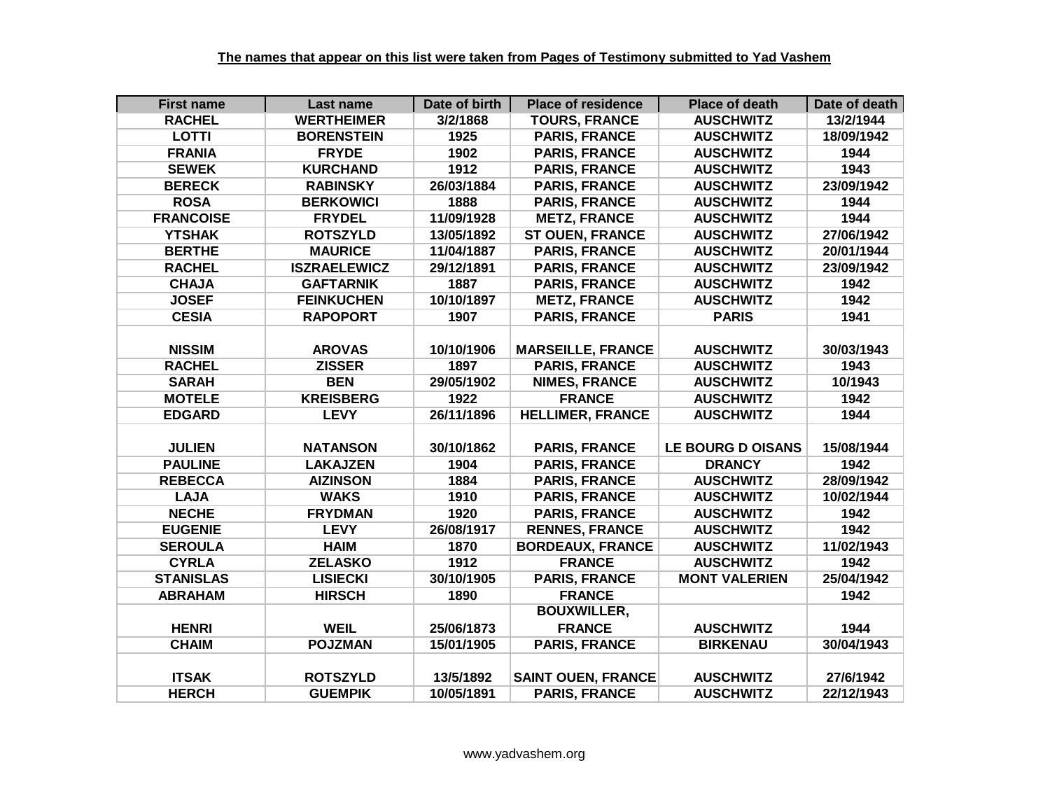| <b>First name</b> | Last name           | Date of birth | <b>Place of residence</b> | <b>Place of death</b>    | Date of death |
|-------------------|---------------------|---------------|---------------------------|--------------------------|---------------|
| <b>RACHEL</b>     | <b>WERTHEIMER</b>   | 3/2/1868      | <b>TOURS, FRANCE</b>      | <b>AUSCHWITZ</b>         | 13/2/1944     |
| <b>LOTTI</b>      | <b>BORENSTEIN</b>   | 1925          | <b>PARIS, FRANCE</b>      | <b>AUSCHWITZ</b>         | 18/09/1942    |
| <b>FRANIA</b>     | <b>FRYDE</b>        | 1902          | <b>PARIS, FRANCE</b>      | <b>AUSCHWITZ</b>         | 1944          |
| <b>SEWEK</b>      | <b>KURCHAND</b>     | 1912          | <b>PARIS, FRANCE</b>      | <b>AUSCHWITZ</b>         | 1943          |
| <b>BERECK</b>     | <b>RABINSKY</b>     | 26/03/1884    | <b>PARIS, FRANCE</b>      | <b>AUSCHWITZ</b>         | 23/09/1942    |
| <b>ROSA</b>       | <b>BERKOWICI</b>    | 1888          | <b>PARIS, FRANCE</b>      | <b>AUSCHWITZ</b>         | 1944          |
| <b>FRANCOISE</b>  | <b>FRYDEL</b>       | 11/09/1928    | <b>METZ, FRANCE</b>       | <b>AUSCHWITZ</b>         | 1944          |
| <b>YTSHAK</b>     | <b>ROTSZYLD</b>     | 13/05/1892    | <b>ST OUEN, FRANCE</b>    | <b>AUSCHWITZ</b>         | 27/06/1942    |
| <b>BERTHE</b>     | <b>MAURICE</b>      | 11/04/1887    | <b>PARIS, FRANCE</b>      | <b>AUSCHWITZ</b>         | 20/01/1944    |
| <b>RACHEL</b>     | <b>ISZRAELEWICZ</b> | 29/12/1891    | <b>PARIS, FRANCE</b>      | <b>AUSCHWITZ</b>         | 23/09/1942    |
| <b>CHAJA</b>      | <b>GAFTARNIK</b>    | 1887          | <b>PARIS, FRANCE</b>      | <b>AUSCHWITZ</b>         | 1942          |
| <b>JOSEF</b>      | <b>FEINKUCHEN</b>   | 10/10/1897    | <b>METZ, FRANCE</b>       | <b>AUSCHWITZ</b>         | 1942          |
| <b>CESIA</b>      | <b>RAPOPORT</b>     | 1907          | <b>PARIS, FRANCE</b>      | <b>PARIS</b>             | 1941          |
|                   |                     |               |                           |                          |               |
| <b>NISSIM</b>     | <b>AROVAS</b>       | 10/10/1906    | <b>MARSEILLE, FRANCE</b>  | <b>AUSCHWITZ</b>         | 30/03/1943    |
| <b>RACHEL</b>     | <b>ZISSER</b>       | 1897          | <b>PARIS, FRANCE</b>      | <b>AUSCHWITZ</b>         | 1943          |
| <b>SARAH</b>      | <b>BEN</b>          | 29/05/1902    | <b>NIMES, FRANCE</b>      | <b>AUSCHWITZ</b>         | 10/1943       |
| <b>MOTELE</b>     | <b>KREISBERG</b>    | 1922          | <b>FRANCE</b>             | <b>AUSCHWITZ</b>         | 1942          |
| <b>EDGARD</b>     | <b>LEVY</b>         | 26/11/1896    | <b>HELLIMER, FRANCE</b>   | <b>AUSCHWITZ</b>         | 1944          |
|                   |                     |               |                           |                          |               |
| <b>JULIEN</b>     | <b>NATANSON</b>     | 30/10/1862    | <b>PARIS, FRANCE</b>      | <b>LE BOURG D OISANS</b> | 15/08/1944    |
| <b>PAULINE</b>    | <b>LAKAJZEN</b>     | 1904          | <b>PARIS, FRANCE</b>      | <b>DRANCY</b>            | 1942          |
| <b>REBECCA</b>    | <b>AIZINSON</b>     | 1884          | <b>PARIS, FRANCE</b>      | <b>AUSCHWITZ</b>         | 28/09/1942    |
| <b>LAJA</b>       | <b>WAKS</b>         | 1910          | <b>PARIS, FRANCE</b>      | <b>AUSCHWITZ</b>         | 10/02/1944    |
| <b>NECHE</b>      | <b>FRYDMAN</b>      | 1920          | <b>PARIS, FRANCE</b>      | <b>AUSCHWITZ</b>         | 1942          |
| <b>EUGENIE</b>    | <b>LEVY</b>         | 26/08/1917    | <b>RENNES, FRANCE</b>     | <b>AUSCHWITZ</b>         | 1942          |
| <b>SEROULA</b>    | <b>HAIM</b>         | 1870          | <b>BORDEAUX, FRANCE</b>   | <b>AUSCHWITZ</b>         | 11/02/1943    |
| <b>CYRLA</b>      | <b>ZELASKO</b>      | 1912          | <b>FRANCE</b>             | <b>AUSCHWITZ</b>         | 1942          |
| <b>STANISLAS</b>  | <b>LISIECKI</b>     | 30/10/1905    | <b>PARIS, FRANCE</b>      | <b>MONT VALERIEN</b>     | 25/04/1942    |
| <b>ABRAHAM</b>    | <b>HIRSCH</b>       | 1890          | <b>FRANCE</b>             |                          | 1942          |
|                   |                     |               | <b>BOUXWILLER,</b>        |                          |               |
| <b>HENRI</b>      | <b>WEIL</b>         | 25/06/1873    | <b>FRANCE</b>             | <b>AUSCHWITZ</b>         | 1944          |
| <b>CHAIM</b>      | <b>POJZMAN</b>      | 15/01/1905    | <b>PARIS, FRANCE</b>      | <b>BIRKENAU</b>          | 30/04/1943    |
|                   |                     |               |                           |                          |               |
| <b>ITSAK</b>      | <b>ROTSZYLD</b>     | 13/5/1892     | <b>SAINT OUEN, FRANCE</b> | <b>AUSCHWITZ</b>         | 27/6/1942     |
| <b>HERCH</b>      | <b>GUEMPIK</b>      | 10/05/1891    | <b>PARIS, FRANCE</b>      | <b>AUSCHWITZ</b>         | 22/12/1943    |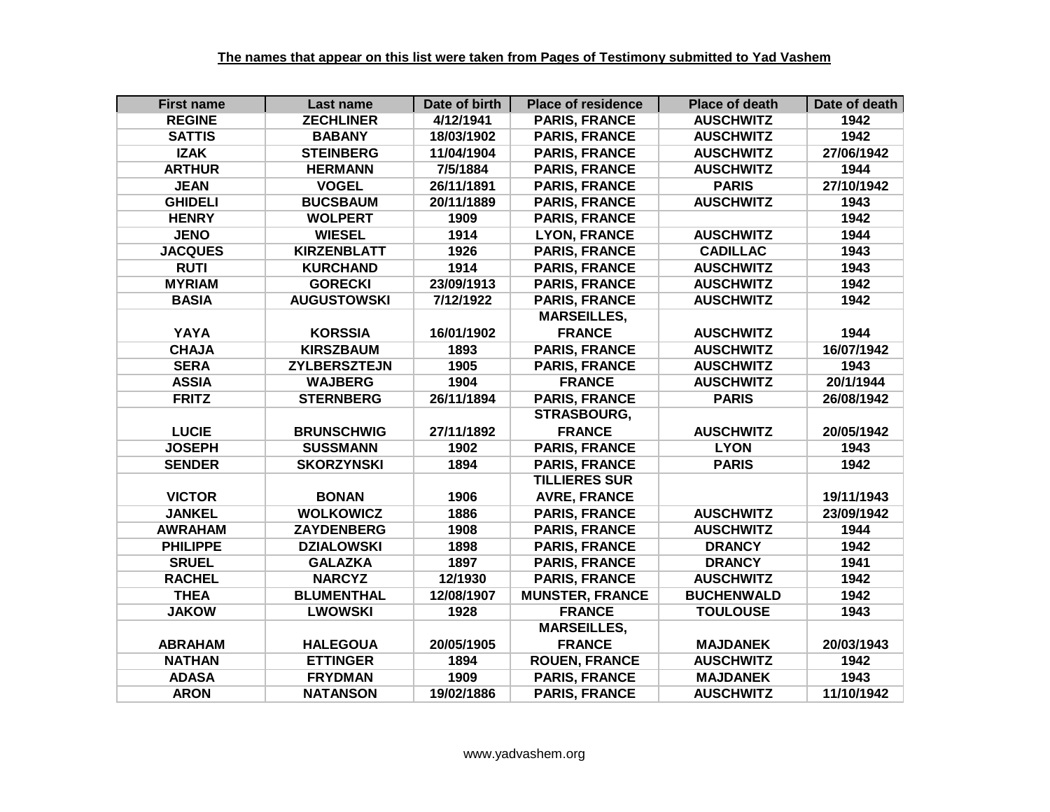| <b>First name</b> | Last name           | Date of birth | <b>Place of residence</b> | <b>Place of death</b> | Date of death |
|-------------------|---------------------|---------------|---------------------------|-----------------------|---------------|
| <b>REGINE</b>     | <b>ZECHLINER</b>    | 4/12/1941     | <b>PARIS, FRANCE</b>      | <b>AUSCHWITZ</b>      | 1942          |
| <b>SATTIS</b>     | <b>BABANY</b>       | 18/03/1902    | <b>PARIS, FRANCE</b>      | <b>AUSCHWITZ</b>      | 1942          |
| <b>IZAK</b>       | <b>STEINBERG</b>    | 11/04/1904    | <b>PARIS, FRANCE</b>      | <b>AUSCHWITZ</b>      | 27/06/1942    |
| <b>ARTHUR</b>     | <b>HERMANN</b>      | 7/5/1884      | <b>PARIS, FRANCE</b>      | <b>AUSCHWITZ</b>      | 1944          |
| <b>JEAN</b>       | <b>VOGEL</b>        | 26/11/1891    | <b>PARIS, FRANCE</b>      | <b>PARIS</b>          | 27/10/1942    |
| <b>GHIDELI</b>    | <b>BUCSBAUM</b>     | 20/11/1889    | <b>PARIS, FRANCE</b>      | <b>AUSCHWITZ</b>      | 1943          |
| <b>HENRY</b>      | <b>WOLPERT</b>      | 1909          | <b>PARIS, FRANCE</b>      |                       | 1942          |
| <b>JENO</b>       | <b>WIESEL</b>       | 1914          | <b>LYON, FRANCE</b>       | <b>AUSCHWITZ</b>      | 1944          |
| <b>JACQUES</b>    | <b>KIRZENBLATT</b>  | 1926          | <b>PARIS, FRANCE</b>      | <b>CADILLAC</b>       | 1943          |
| <b>RUTI</b>       | <b>KURCHAND</b>     | 1914          | <b>PARIS, FRANCE</b>      | <b>AUSCHWITZ</b>      | 1943          |
| <b>MYRIAM</b>     | <b>GORECKI</b>      | 23/09/1913    | <b>PARIS, FRANCE</b>      | <b>AUSCHWITZ</b>      | 1942          |
| <b>BASIA</b>      | <b>AUGUSTOWSKI</b>  | 7/12/1922     | <b>PARIS, FRANCE</b>      | <b>AUSCHWITZ</b>      | 1942          |
|                   |                     |               | <b>MARSEILLES,</b>        |                       |               |
| YAYA              | <b>KORSSIA</b>      | 16/01/1902    | <b>FRANCE</b>             | <b>AUSCHWITZ</b>      | 1944          |
| <b>CHAJA</b>      | <b>KIRSZBAUM</b>    | 1893          | <b>PARIS, FRANCE</b>      | <b>AUSCHWITZ</b>      | 16/07/1942    |
| <b>SERA</b>       | <b>ZYLBERSZTEJN</b> | 1905          | <b>PARIS, FRANCE</b>      | <b>AUSCHWITZ</b>      | 1943          |
| <b>ASSIA</b>      | <b>WAJBERG</b>      | 1904          | <b>FRANCE</b>             | <b>AUSCHWITZ</b>      | 20/1/1944     |
| <b>FRITZ</b>      | <b>STERNBERG</b>    | 26/11/1894    | <b>PARIS, FRANCE</b>      | <b>PARIS</b>          | 26/08/1942    |
|                   |                     |               | STRASBOURG,               |                       |               |
| <b>LUCIE</b>      | <b>BRUNSCHWIG</b>   | 27/11/1892    | <b>FRANCE</b>             | <b>AUSCHWITZ</b>      | 20/05/1942    |
| <b>JOSEPH</b>     | <b>SUSSMANN</b>     | 1902          | <b>PARIS, FRANCE</b>      | <b>LYON</b>           | 1943          |
| <b>SENDER</b>     | <b>SKORZYNSKI</b>   | 1894          | <b>PARIS, FRANCE</b>      | <b>PARIS</b>          | 1942          |
|                   |                     |               | <b>TILLIERES SUR</b>      |                       |               |
| <b>VICTOR</b>     | <b>BONAN</b>        | 1906          | <b>AVRE, FRANCE</b>       |                       | 19/11/1943    |
| <b>JANKEL</b>     | <b>WOLKOWICZ</b>    | 1886          | <b>PARIS, FRANCE</b>      | <b>AUSCHWITZ</b>      | 23/09/1942    |
| <b>AWRAHAM</b>    | <b>ZAYDENBERG</b>   | 1908          | <b>PARIS, FRANCE</b>      | <b>AUSCHWITZ</b>      | 1944          |
| <b>PHILIPPE</b>   | <b>DZIALOWSKI</b>   | 1898          | <b>PARIS, FRANCE</b>      | <b>DRANCY</b>         | 1942          |
| <b>SRUEL</b>      | <b>GALAZKA</b>      | 1897          | <b>PARIS, FRANCE</b>      | <b>DRANCY</b>         | 1941          |
| <b>RACHEL</b>     | <b>NARCYZ</b>       | 12/1930       | <b>PARIS, FRANCE</b>      | <b>AUSCHWITZ</b>      | 1942          |
| <b>THEA</b>       | <b>BLUMENTHAL</b>   | 12/08/1907    | <b>MUNSTER, FRANCE</b>    | <b>BUCHENWALD</b>     | 1942          |
| <b>JAKOW</b>      | <b>LWOWSKI</b>      | 1928          | <b>FRANCE</b>             | <b>TOULOUSE</b>       | 1943          |
|                   |                     |               | <b>MARSEILLES,</b>        |                       |               |
| <b>ABRAHAM</b>    | <b>HALEGOUA</b>     | 20/05/1905    | <b>FRANCE</b>             | <b>MAJDANEK</b>       | 20/03/1943    |
| <b>NATHAN</b>     | <b>ETTINGER</b>     | 1894          | <b>ROUEN, FRANCE</b>      | <b>AUSCHWITZ</b>      | 1942          |
| <b>ADASA</b>      | <b>FRYDMAN</b>      | 1909          | <b>PARIS, FRANCE</b>      | <b>MAJDANEK</b>       | 1943          |
| <b>ARON</b>       | <b>NATANSON</b>     | 19/02/1886    | <b>PARIS, FRANCE</b>      | <b>AUSCHWITZ</b>      | 11/10/1942    |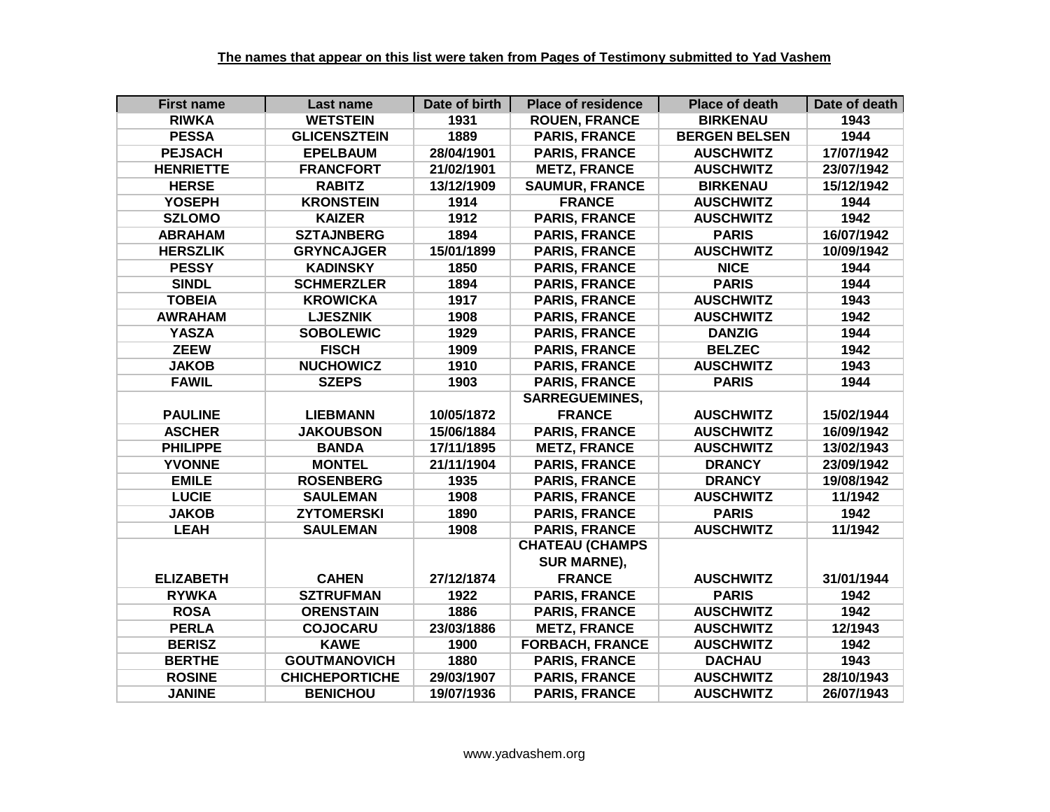| <b>First name</b> | Last name             | Date of birth | <b>Place of residence</b> | <b>Place of death</b> | Date of death |
|-------------------|-----------------------|---------------|---------------------------|-----------------------|---------------|
| <b>RIWKA</b>      | <b>WETSTEIN</b>       | 1931          | <b>ROUEN, FRANCE</b>      | <b>BIRKENAU</b>       | 1943          |
| <b>PESSA</b>      | <b>GLICENSZTEIN</b>   | 1889          | <b>PARIS, FRANCE</b>      | <b>BERGEN BELSEN</b>  | 1944          |
| <b>PEJSACH</b>    | <b>EPELBAUM</b>       | 28/04/1901    | <b>PARIS, FRANCE</b>      | <b>AUSCHWITZ</b>      | 17/07/1942    |
| <b>HENRIETTE</b>  | <b>FRANCFORT</b>      | 21/02/1901    | <b>METZ, FRANCE</b>       | <b>AUSCHWITZ</b>      | 23/07/1942    |
| <b>HERSE</b>      | <b>RABITZ</b>         | 13/12/1909    | <b>SAUMUR, FRANCE</b>     | <b>BIRKENAU</b>       | 15/12/1942    |
| <b>YOSEPH</b>     | <b>KRONSTEIN</b>      | 1914          | <b>FRANCE</b>             | <b>AUSCHWITZ</b>      | 1944          |
| <b>SZLOMO</b>     | <b>KAIZER</b>         | 1912          | <b>PARIS, FRANCE</b>      | <b>AUSCHWITZ</b>      | 1942          |
| <b>ABRAHAM</b>    | <b>SZTAJNBERG</b>     | 1894          | <b>PARIS, FRANCE</b>      | <b>PARIS</b>          | 16/07/1942    |
| <b>HERSZLIK</b>   | <b>GRYNCAJGER</b>     | 15/01/1899    | <b>PARIS, FRANCE</b>      | <b>AUSCHWITZ</b>      | 10/09/1942    |
| <b>PESSY</b>      | <b>KADINSKY</b>       | 1850          | <b>PARIS, FRANCE</b>      | <b>NICE</b>           | 1944          |
| <b>SINDL</b>      | <b>SCHMERZLER</b>     | 1894          | <b>PARIS, FRANCE</b>      | <b>PARIS</b>          | 1944          |
| <b>TOBEIA</b>     | <b>KROWICKA</b>       | 1917          | <b>PARIS, FRANCE</b>      | <b>AUSCHWITZ</b>      | 1943          |
| <b>AWRAHAM</b>    | <b>LJESZNIK</b>       | 1908          | <b>PARIS, FRANCE</b>      | <b>AUSCHWITZ</b>      | 1942          |
| <b>YASZA</b>      | <b>SOBOLEWIC</b>      | 1929          | <b>PARIS, FRANCE</b>      | <b>DANZIG</b>         | 1944          |
| <b>ZEEW</b>       | <b>FISCH</b>          | 1909          | <b>PARIS, FRANCE</b>      | <b>BELZEC</b>         | 1942          |
| <b>JAKOB</b>      | <b>NUCHOWICZ</b>      | 1910          | <b>PARIS, FRANCE</b>      | <b>AUSCHWITZ</b>      | 1943          |
| <b>FAWIL</b>      | <b>SZEPS</b>          | 1903          | <b>PARIS, FRANCE</b>      | <b>PARIS</b>          | 1944          |
|                   |                       |               | <b>SARREGUEMINES,</b>     |                       |               |
| <b>PAULINE</b>    | <b>LIEBMANN</b>       | 10/05/1872    | <b>FRANCE</b>             | <b>AUSCHWITZ</b>      | 15/02/1944    |
| <b>ASCHER</b>     | <b>JAKOUBSON</b>      | 15/06/1884    | <b>PARIS, FRANCE</b>      | <b>AUSCHWITZ</b>      | 16/09/1942    |
| <b>PHILIPPE</b>   | <b>BANDA</b>          | 17/11/1895    | <b>METZ, FRANCE</b>       | <b>AUSCHWITZ</b>      | 13/02/1943    |
| <b>YVONNE</b>     | <b>MONTEL</b>         | 21/11/1904    | <b>PARIS, FRANCE</b>      | <b>DRANCY</b>         | 23/09/1942    |
| <b>EMILE</b>      | <b>ROSENBERG</b>      | 1935          | <b>PARIS, FRANCE</b>      | <b>DRANCY</b>         | 19/08/1942    |
| <b>LUCIE</b>      | <b>SAULEMAN</b>       | 1908          | <b>PARIS, FRANCE</b>      | <b>AUSCHWITZ</b>      | 11/1942       |
| <b>JAKOB</b>      | <b>ZYTOMERSKI</b>     | 1890          | <b>PARIS, FRANCE</b>      | <b>PARIS</b>          | 1942          |
| <b>LEAH</b>       | <b>SAULEMAN</b>       | 1908          | <b>PARIS, FRANCE</b>      | <b>AUSCHWITZ</b>      | 11/1942       |
|                   |                       |               | <b>CHATEAU (CHAMPS</b>    |                       |               |
|                   |                       |               | <b>SUR MARNE),</b>        |                       |               |
| <b>ELIZABETH</b>  | <b>CAHEN</b>          | 27/12/1874    | <b>FRANCE</b>             | <b>AUSCHWITZ</b>      | 31/01/1944    |
| <b>RYWKA</b>      | <b>SZTRUFMAN</b>      | 1922          | <b>PARIS, FRANCE</b>      | <b>PARIS</b>          | 1942          |
| <b>ROSA</b>       | <b>ORENSTAIN</b>      | 1886          | <b>PARIS, FRANCE</b>      | <b>AUSCHWITZ</b>      | 1942          |
| <b>PERLA</b>      | <b>COJOCARU</b>       | 23/03/1886    | <b>METZ, FRANCE</b>       | <b>AUSCHWITZ</b>      | 12/1943       |
| <b>BERISZ</b>     | <b>KAWE</b>           | 1900          | <b>FORBACH, FRANCE</b>    | <b>AUSCHWITZ</b>      | 1942          |
| <b>BERTHE</b>     | <b>GOUTMANOVICH</b>   | 1880          | <b>PARIS, FRANCE</b>      | <b>DACHAU</b>         | 1943          |
| <b>ROSINE</b>     | <b>CHICHEPORTICHE</b> | 29/03/1907    | <b>PARIS, FRANCE</b>      | <b>AUSCHWITZ</b>      | 28/10/1943    |
| <b>JANINE</b>     | <b>BENICHOU</b>       | 19/07/1936    | <b>PARIS, FRANCE</b>      | <b>AUSCHWITZ</b>      | 26/07/1943    |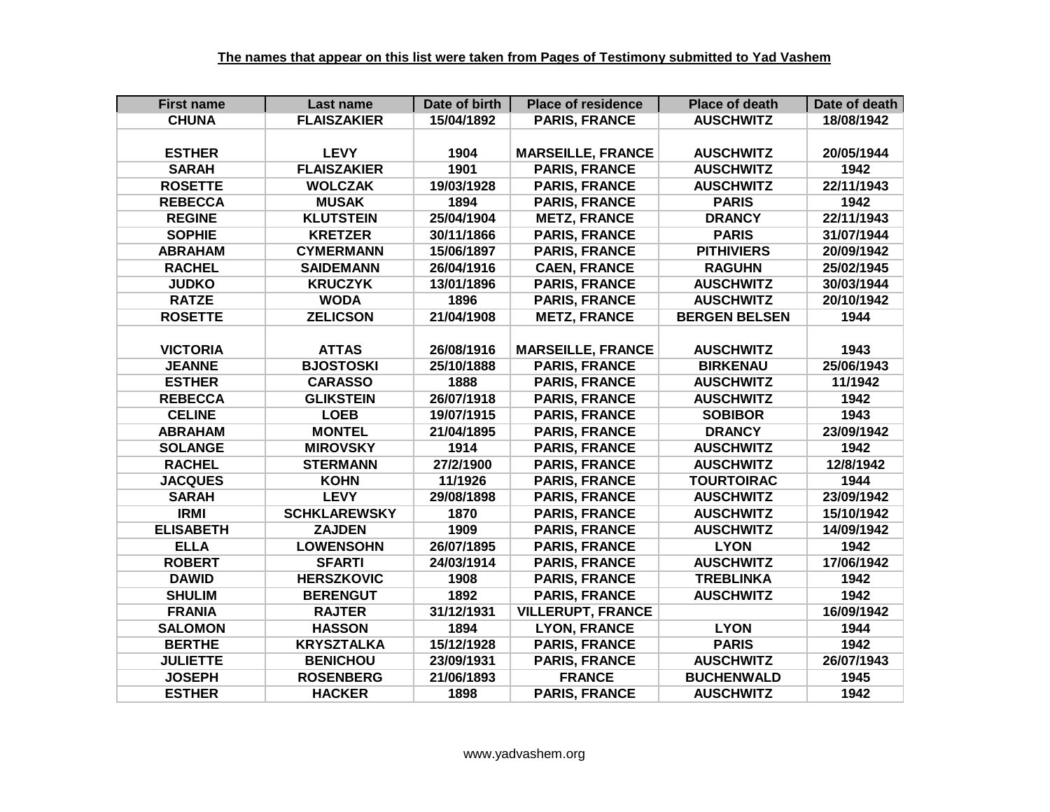| <b>First name</b> | Last name           | Date of birth | <b>Place of residence</b> | <b>Place of death</b> | Date of death |
|-------------------|---------------------|---------------|---------------------------|-----------------------|---------------|
| <b>CHUNA</b>      | <b>FLAISZAKIER</b>  | 15/04/1892    | <b>PARIS, FRANCE</b>      | <b>AUSCHWITZ</b>      | 18/08/1942    |
|                   |                     |               |                           |                       |               |
| <b>ESTHER</b>     | <b>LEVY</b>         | 1904          | <b>MARSEILLE, FRANCE</b>  | <b>AUSCHWITZ</b>      | 20/05/1944    |
| <b>SARAH</b>      | <b>FLAISZAKIER</b>  | 1901          | <b>PARIS, FRANCE</b>      | <b>AUSCHWITZ</b>      | 1942          |
| <b>ROSETTE</b>    | <b>WOLCZAK</b>      | 19/03/1928    | <b>PARIS, FRANCE</b>      | <b>AUSCHWITZ</b>      | 22/11/1943    |
| <b>REBECCA</b>    | <b>MUSAK</b>        | 1894          | <b>PARIS, FRANCE</b>      | <b>PARIS</b>          | 1942          |
| <b>REGINE</b>     | <b>KLUTSTEIN</b>    | 25/04/1904    | <b>METZ, FRANCE</b>       | <b>DRANCY</b>         | 22/11/1943    |
| <b>SOPHIE</b>     | <b>KRETZER</b>      | 30/11/1866    | <b>PARIS, FRANCE</b>      | <b>PARIS</b>          | 31/07/1944    |
| <b>ABRAHAM</b>    | <b>CYMERMANN</b>    | 15/06/1897    | <b>PARIS, FRANCE</b>      | <b>PITHIVIERS</b>     | 20/09/1942    |
| <b>RACHEL</b>     | <b>SAIDEMANN</b>    | 26/04/1916    | <b>CAEN, FRANCE</b>       | <b>RAGUHN</b>         | 25/02/1945    |
| <b>JUDKO</b>      | <b>KRUCZYK</b>      | 13/01/1896    | <b>PARIS, FRANCE</b>      | <b>AUSCHWITZ</b>      | 30/03/1944    |
| <b>RATZE</b>      | <b>WODA</b>         | 1896          | <b>PARIS, FRANCE</b>      | <b>AUSCHWITZ</b>      | 20/10/1942    |
| <b>ROSETTE</b>    | <b>ZELICSON</b>     | 21/04/1908    | <b>METZ, FRANCE</b>       | <b>BERGEN BELSEN</b>  | 1944          |
|                   |                     |               |                           |                       |               |
| <b>VICTORIA</b>   | <b>ATTAS</b>        | 26/08/1916    | <b>MARSEILLE, FRANCE</b>  | <b>AUSCHWITZ</b>      | 1943          |
| <b>JEANNE</b>     | <b>BJOSTOSKI</b>    | 25/10/1888    | <b>PARIS, FRANCE</b>      | <b>BIRKENAU</b>       | 25/06/1943    |
| <b>ESTHER</b>     | <b>CARASSO</b>      | 1888          | <b>PARIS, FRANCE</b>      | <b>AUSCHWITZ</b>      | 11/1942       |
| <b>REBECCA</b>    | <b>GLIKSTEIN</b>    | 26/07/1918    | <b>PARIS, FRANCE</b>      | <b>AUSCHWITZ</b>      | 1942          |
| <b>CELINE</b>     | <b>LOEB</b>         | 19/07/1915    | <b>PARIS, FRANCE</b>      | <b>SOBIBOR</b>        | 1943          |
| <b>ABRAHAM</b>    | <b>MONTEL</b>       | 21/04/1895    | <b>PARIS, FRANCE</b>      | <b>DRANCY</b>         | 23/09/1942    |
| <b>SOLANGE</b>    | <b>MIROVSKY</b>     | 1914          | <b>PARIS, FRANCE</b>      | <b>AUSCHWITZ</b>      | 1942          |
| <b>RACHEL</b>     | <b>STERMANN</b>     | 27/2/1900     | <b>PARIS, FRANCE</b>      | <b>AUSCHWITZ</b>      | 12/8/1942     |
| <b>JACQUES</b>    | <b>KOHN</b>         | 11/1926       | <b>PARIS, FRANCE</b>      | <b>TOURTOIRAC</b>     | 1944          |
| <b>SARAH</b>      | <b>LEVY</b>         | 29/08/1898    | <b>PARIS, FRANCE</b>      | <b>AUSCHWITZ</b>      | 23/09/1942    |
| <b>IRMI</b>       | <b>SCHKLAREWSKY</b> | 1870          | <b>PARIS, FRANCE</b>      | <b>AUSCHWITZ</b>      | 15/10/1942    |
| <b>ELISABETH</b>  | <b>ZAJDEN</b>       | 1909          | <b>PARIS, FRANCE</b>      | <b>AUSCHWITZ</b>      | 14/09/1942    |
| <b>ELLA</b>       | <b>LOWENSOHN</b>    | 26/07/1895    | <b>PARIS, FRANCE</b>      | <b>LYON</b>           | 1942          |
| <b>ROBERT</b>     | <b>SFARTI</b>       | 24/03/1914    | <b>PARIS, FRANCE</b>      | <b>AUSCHWITZ</b>      | 17/06/1942    |
| <b>DAWID</b>      | <b>HERSZKOVIC</b>   | 1908          | <b>PARIS, FRANCE</b>      | <b>TREBLINKA</b>      | 1942          |
| <b>SHULIM</b>     | <b>BERENGUT</b>     | 1892          | <b>PARIS, FRANCE</b>      | <b>AUSCHWITZ</b>      | 1942          |
| <b>FRANIA</b>     | <b>RAJTER</b>       | 31/12/1931    | <b>VILLERUPT, FRANCE</b>  |                       | 16/09/1942    |
| <b>SALOMON</b>    | <b>HASSON</b>       | 1894          | <b>LYON, FRANCE</b>       | <b>LYON</b>           | 1944          |
| <b>BERTHE</b>     | <b>KRYSZTALKA</b>   | 15/12/1928    | <b>PARIS, FRANCE</b>      | <b>PARIS</b>          | 1942          |
| <b>JULIETTE</b>   | <b>BENICHOU</b>     | 23/09/1931    | <b>PARIS, FRANCE</b>      | <b>AUSCHWITZ</b>      | 26/07/1943    |
| <b>JOSEPH</b>     | <b>ROSENBERG</b>    | 21/06/1893    | <b>FRANCE</b>             | <b>BUCHENWALD</b>     | 1945          |
| <b>ESTHER</b>     | <b>HACKER</b>       | 1898          | <b>PARIS, FRANCE</b>      | <b>AUSCHWITZ</b>      | 1942          |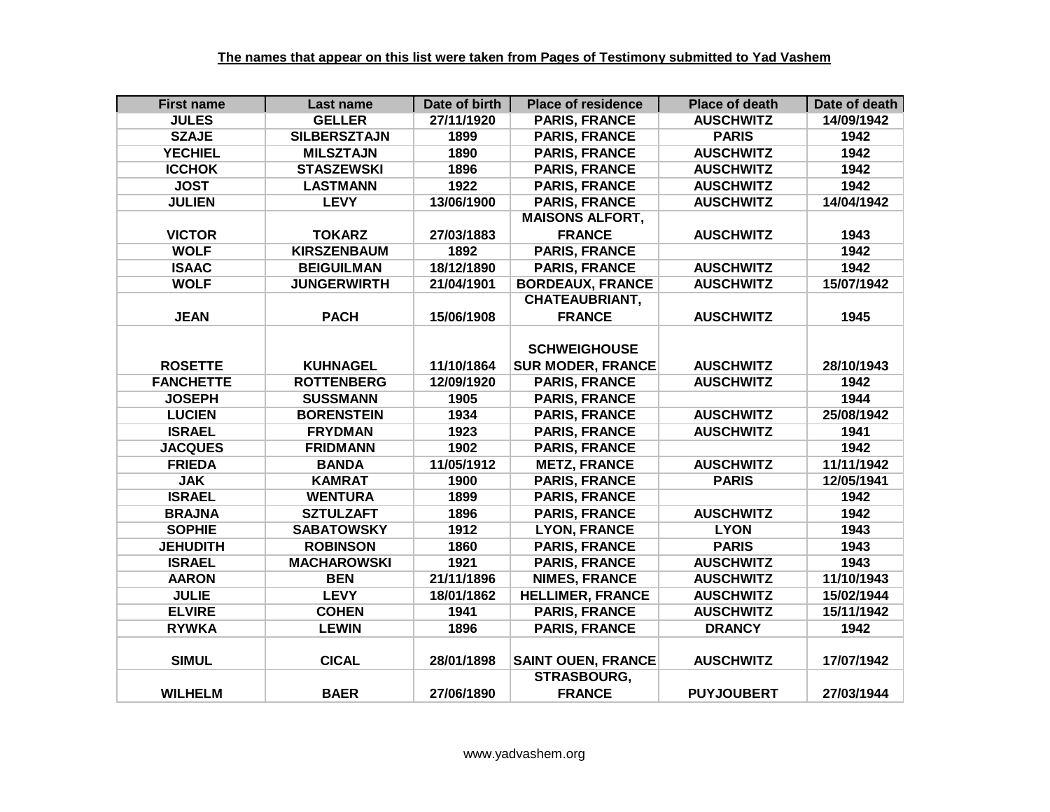| <b>First name</b> | Last name           | Date of birth | <b>Place of residence</b> | <b>Place of death</b> | Date of death |
|-------------------|---------------------|---------------|---------------------------|-----------------------|---------------|
| <b>JULES</b>      | <b>GELLER</b>       | 27/11/1920    | <b>PARIS, FRANCE</b>      | <b>AUSCHWITZ</b>      | 14/09/1942    |
| <b>SZAJE</b>      | <b>SILBERSZTAJN</b> | 1899          | <b>PARIS, FRANCE</b>      | <b>PARIS</b>          | 1942          |
| <b>YECHIEL</b>    | <b>MILSZTAJN</b>    | 1890          | <b>PARIS, FRANCE</b>      | <b>AUSCHWITZ</b>      | 1942          |
| <b>ICCHOK</b>     | <b>STASZEWSKI</b>   | 1896          | <b>PARIS, FRANCE</b>      | <b>AUSCHWITZ</b>      | 1942          |
| <b>JOST</b>       | <b>LASTMANN</b>     | 1922          | <b>PARIS, FRANCE</b>      | <b>AUSCHWITZ</b>      | 1942          |
| <b>JULIEN</b>     | <b>LEVY</b>         | 13/06/1900    | <b>PARIS, FRANCE</b>      | <b>AUSCHWITZ</b>      | 14/04/1942    |
|                   |                     |               | <b>MAISONS ALFORT,</b>    |                       |               |
| <b>VICTOR</b>     | <b>TOKARZ</b>       | 27/03/1883    | <b>FRANCE</b>             | <b>AUSCHWITZ</b>      | 1943          |
| <b>WOLF</b>       | <b>KIRSZENBAUM</b>  | 1892          | <b>PARIS, FRANCE</b>      |                       | 1942          |
| <b>ISAAC</b>      | <b>BEIGUILMAN</b>   | 18/12/1890    | <b>PARIS, FRANCE</b>      | <b>AUSCHWITZ</b>      | 1942          |
| <b>WOLF</b>       | <b>JUNGERWIRTH</b>  | 21/04/1901    | <b>BORDEAUX, FRANCE</b>   | <b>AUSCHWITZ</b>      | 15/07/1942    |
|                   |                     |               | <b>CHATEAUBRIANT,</b>     |                       |               |
| <b>JEAN</b>       | <b>PACH</b>         | 15/06/1908    | <b>FRANCE</b>             | <b>AUSCHWITZ</b>      | 1945          |
|                   |                     |               |                           |                       |               |
|                   |                     |               | <b>SCHWEIGHOUSE</b>       |                       |               |
| <b>ROSETTE</b>    | <b>KUHNAGEL</b>     | 11/10/1864    | <b>SUR MODER, FRANCE</b>  | <b>AUSCHWITZ</b>      | 28/10/1943    |
| <b>FANCHETTE</b>  | <b>ROTTENBERG</b>   | 12/09/1920    | <b>PARIS, FRANCE</b>      | <b>AUSCHWITZ</b>      | 1942          |
| <b>JOSEPH</b>     | <b>SUSSMANN</b>     | 1905          | <b>PARIS, FRANCE</b>      |                       | 1944          |
| <b>LUCIEN</b>     | <b>BORENSTEIN</b>   | 1934          | <b>PARIS, FRANCE</b>      | <b>AUSCHWITZ</b>      | 25/08/1942    |
| <b>ISRAEL</b>     | <b>FRYDMAN</b>      | 1923          | <b>PARIS, FRANCE</b>      | <b>AUSCHWITZ</b>      | 1941          |
| <b>JACQUES</b>    | <b>FRIDMANN</b>     | 1902          | <b>PARIS, FRANCE</b>      |                       | 1942          |
| <b>FRIEDA</b>     | <b>BANDA</b>        | 11/05/1912    | <b>METZ, FRANCE</b>       | <b>AUSCHWITZ</b>      | 11/11/1942    |
| <b>JAK</b>        | <b>KAMRAT</b>       | 1900          | <b>PARIS, FRANCE</b>      | <b>PARIS</b>          | 12/05/1941    |
| <b>ISRAEL</b>     | <b>WENTURA</b>      | 1899          | <b>PARIS, FRANCE</b>      |                       | 1942          |
| <b>BRAJNA</b>     | <b>SZTULZAFT</b>    | 1896          | <b>PARIS, FRANCE</b>      | <b>AUSCHWITZ</b>      | 1942          |
| <b>SOPHIE</b>     | <b>SABATOWSKY</b>   | 1912          | <b>LYON, FRANCE</b>       | <b>LYON</b>           | 1943          |
| <b>JEHUDITH</b>   | <b>ROBINSON</b>     | 1860          | <b>PARIS, FRANCE</b>      | <b>PARIS</b>          | 1943          |
| <b>ISRAEL</b>     | <b>MACHAROWSKI</b>  | 1921          | <b>PARIS, FRANCE</b>      | <b>AUSCHWITZ</b>      | 1943          |
| <b>AARON</b>      | <b>BEN</b>          | 21/11/1896    | <b>NIMES, FRANCE</b>      | <b>AUSCHWITZ</b>      | 11/10/1943    |
| <b>JULIE</b>      | <b>LEVY</b>         | 18/01/1862    | <b>HELLIMER, FRANCE</b>   | <b>AUSCHWITZ</b>      | 15/02/1944    |
| <b>ELVIRE</b>     | <b>COHEN</b>        | 1941          | <b>PARIS, FRANCE</b>      | <b>AUSCHWITZ</b>      | 15/11/1942    |
| <b>RYWKA</b>      | <b>LEWIN</b>        | 1896          | <b>PARIS, FRANCE</b>      | <b>DRANCY</b>         | 1942          |
|                   |                     |               |                           |                       |               |
| <b>SIMUL</b>      | <b>CICAL</b>        | 28/01/1898    | <b>SAINT OUEN, FRANCE</b> | <b>AUSCHWITZ</b>      | 17/07/1942    |
|                   |                     |               | <b>STRASBOURG,</b>        |                       |               |
| <b>WILHELM</b>    | <b>BAER</b>         | 27/06/1890    | <b>FRANCE</b>             | <b>PUYJOUBERT</b>     | 27/03/1944    |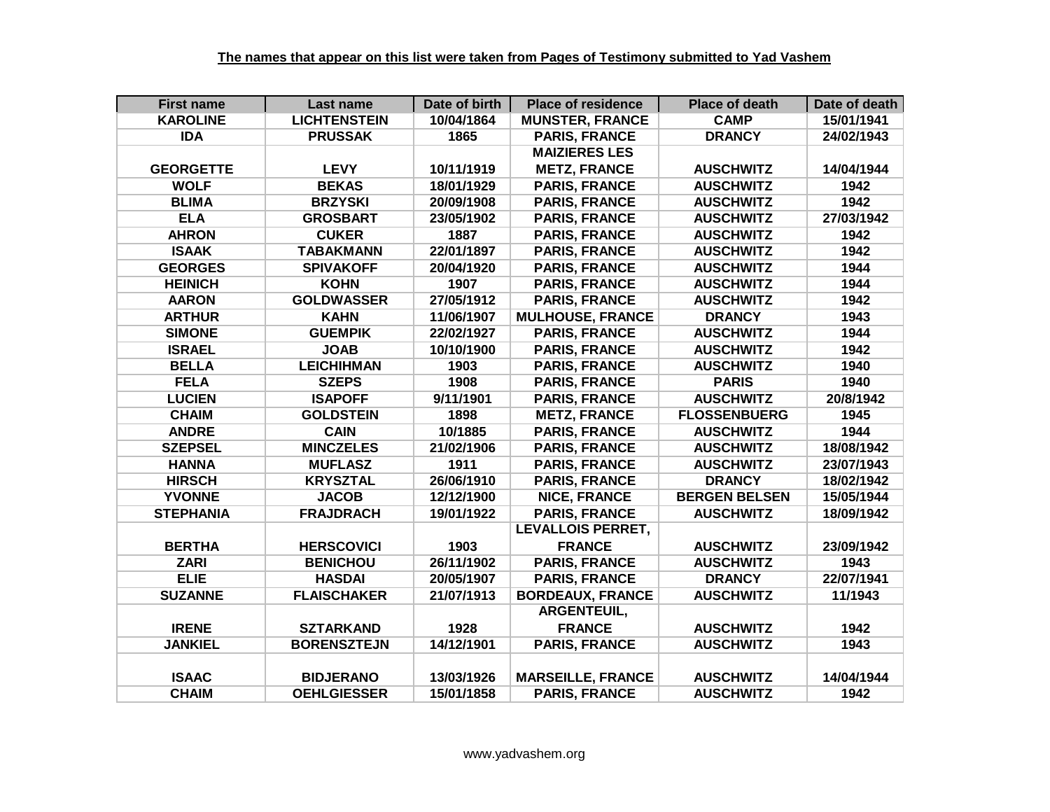| <b>First name</b> | Last name           | Date of birth | <b>Place of residence</b> | <b>Place of death</b> | Date of death |
|-------------------|---------------------|---------------|---------------------------|-----------------------|---------------|
| <b>KAROLINE</b>   | <b>LICHTENSTEIN</b> | 10/04/1864    | <b>MUNSTER, FRANCE</b>    | <b>CAMP</b>           | 15/01/1941    |
| <b>IDA</b>        | <b>PRUSSAK</b>      | 1865          | <b>PARIS, FRANCE</b>      | <b>DRANCY</b>         | 24/02/1943    |
|                   |                     |               | <b>MAIZIERES LES</b>      |                       |               |
| <b>GEORGETTE</b>  | <b>LEVY</b>         | 10/11/1919    | <b>METZ, FRANCE</b>       | <b>AUSCHWITZ</b>      | 14/04/1944    |
| <b>WOLF</b>       | <b>BEKAS</b>        | 18/01/1929    | <b>PARIS, FRANCE</b>      | <b>AUSCHWITZ</b>      | 1942          |
| <b>BLIMA</b>      | <b>BRZYSKI</b>      | 20/09/1908    | <b>PARIS, FRANCE</b>      | <b>AUSCHWITZ</b>      | 1942          |
| <b>ELA</b>        | <b>GROSBART</b>     | 23/05/1902    | <b>PARIS, FRANCE</b>      | <b>AUSCHWITZ</b>      | 27/03/1942    |
| <b>AHRON</b>      | <b>CUKER</b>        | 1887          | <b>PARIS, FRANCE</b>      | <b>AUSCHWITZ</b>      | 1942          |
| <b>ISAAK</b>      | <b>TABAKMANN</b>    | 22/01/1897    | <b>PARIS, FRANCE</b>      | <b>AUSCHWITZ</b>      | 1942          |
| <b>GEORGES</b>    | <b>SPIVAKOFF</b>    | 20/04/1920    | <b>PARIS, FRANCE</b>      | <b>AUSCHWITZ</b>      | 1944          |
| <b>HEINICH</b>    | <b>KOHN</b>         | 1907          | <b>PARIS, FRANCE</b>      | <b>AUSCHWITZ</b>      | 1944          |
| <b>AARON</b>      | <b>GOLDWASSER</b>   | 27/05/1912    | <b>PARIS, FRANCE</b>      | <b>AUSCHWITZ</b>      | 1942          |
| <b>ARTHUR</b>     | <b>KAHN</b>         | 11/06/1907    | <b>MULHOUSE, FRANCE</b>   | <b>DRANCY</b>         | 1943          |
| <b>SIMONE</b>     | <b>GUEMPIK</b>      | 22/02/1927    | <b>PARIS, FRANCE</b>      | <b>AUSCHWITZ</b>      | 1944          |
| <b>ISRAEL</b>     | <b>JOAB</b>         | 10/10/1900    | <b>PARIS, FRANCE</b>      | <b>AUSCHWITZ</b>      | 1942          |
| <b>BELLA</b>      | <b>LEICHIHMAN</b>   | 1903          | <b>PARIS, FRANCE</b>      | <b>AUSCHWITZ</b>      | 1940          |
| <b>FELA</b>       | <b>SZEPS</b>        | 1908          | <b>PARIS, FRANCE</b>      | <b>PARIS</b>          | 1940          |
| <b>LUCIEN</b>     | <b>ISAPOFF</b>      | 9/11/1901     | <b>PARIS, FRANCE</b>      | <b>AUSCHWITZ</b>      | 20/8/1942     |
| <b>CHAIM</b>      | <b>GOLDSTEIN</b>    | 1898          | <b>METZ, FRANCE</b>       | <b>FLOSSENBUERG</b>   | 1945          |
| <b>ANDRE</b>      | <b>CAIN</b>         | 10/1885       | <b>PARIS, FRANCE</b>      | <b>AUSCHWITZ</b>      | 1944          |
| <b>SZEPSEL</b>    | <b>MINCZELES</b>    | 21/02/1906    | <b>PARIS, FRANCE</b>      | <b>AUSCHWITZ</b>      | 18/08/1942    |
| <b>HANNA</b>      | <b>MUFLASZ</b>      | 1911          | <b>PARIS, FRANCE</b>      | <b>AUSCHWITZ</b>      | 23/07/1943    |
| <b>HIRSCH</b>     | <b>KRYSZTAL</b>     | 26/06/1910    | <b>PARIS, FRANCE</b>      | <b>DRANCY</b>         | 18/02/1942    |
| <b>YVONNE</b>     | <b>JACOB</b>        | 12/12/1900    | <b>NICE, FRANCE</b>       | <b>BERGEN BELSEN</b>  | 15/05/1944    |
| <b>STEPHANIA</b>  | <b>FRAJDRACH</b>    | 19/01/1922    | <b>PARIS, FRANCE</b>      | <b>AUSCHWITZ</b>      | 18/09/1942    |
|                   |                     |               | <b>LEVALLOIS PERRET,</b>  |                       |               |
| <b>BERTHA</b>     | <b>HERSCOVICI</b>   | 1903          | <b>FRANCE</b>             | <b>AUSCHWITZ</b>      | 23/09/1942    |
| <b>ZARI</b>       | <b>BENICHOU</b>     | 26/11/1902    | <b>PARIS, FRANCE</b>      | <b>AUSCHWITZ</b>      | 1943          |
| <b>ELIE</b>       | <b>HASDAI</b>       | 20/05/1907    | <b>PARIS, FRANCE</b>      | <b>DRANCY</b>         | 22/07/1941    |
| <b>SUZANNE</b>    | <b>FLAISCHAKER</b>  | 21/07/1913    | <b>BORDEAUX, FRANCE</b>   | <b>AUSCHWITZ</b>      | 11/1943       |
|                   |                     |               | ARGENTEUIL,               |                       |               |
| <b>IRENE</b>      | <b>SZTARKAND</b>    | 1928          | <b>FRANCE</b>             | <b>AUSCHWITZ</b>      | 1942          |
| <b>JANKIEL</b>    | <b>BORENSZTEJN</b>  | 14/12/1901    | <b>PARIS, FRANCE</b>      | <b>AUSCHWITZ</b>      | 1943          |
|                   |                     |               |                           |                       |               |
| <b>ISAAC</b>      | <b>BIDJERANO</b>    | 13/03/1926    | <b>MARSEILLE, FRANCE</b>  | <b>AUSCHWITZ</b>      | 14/04/1944    |
| <b>CHAIM</b>      | <b>OEHLGIESSER</b>  | 15/01/1858    | <b>PARIS, FRANCE</b>      | <b>AUSCHWITZ</b>      | 1942          |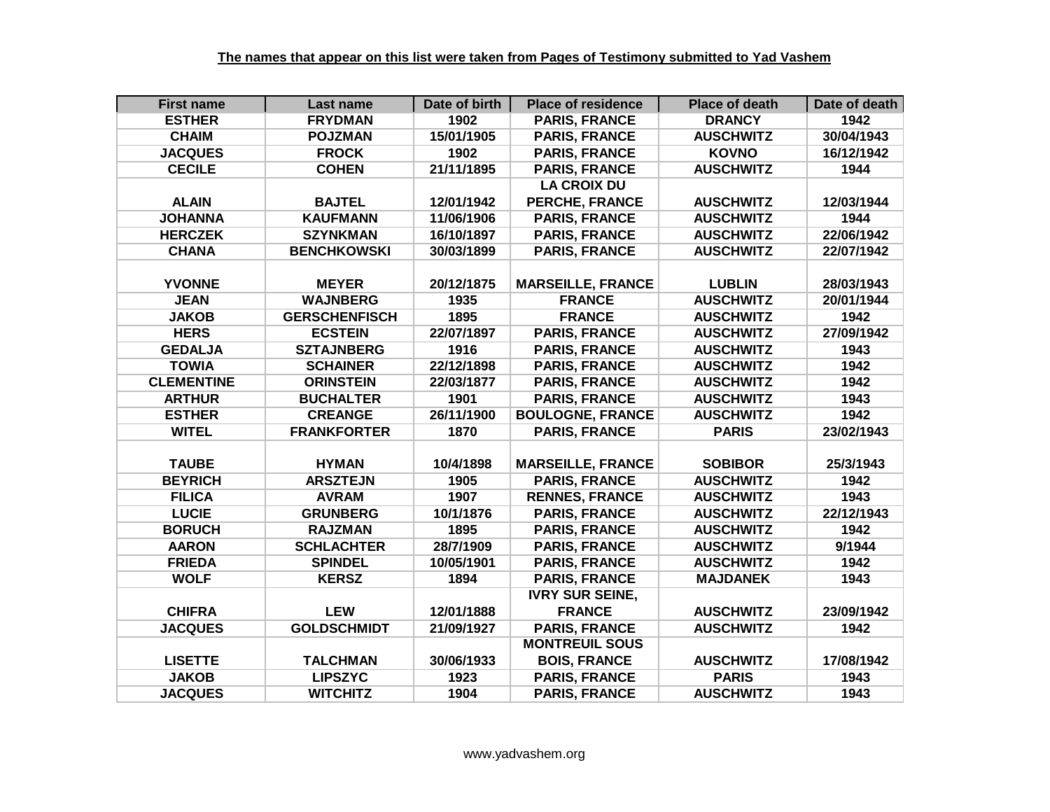| <b>First name</b> | Last name            | Date of birth | <b>Place of residence</b> | <b>Place of death</b> | Date of death |
|-------------------|----------------------|---------------|---------------------------|-----------------------|---------------|
| <b>ESTHER</b>     | <b>FRYDMAN</b>       | 1902          | <b>PARIS, FRANCE</b>      | <b>DRANCY</b>         | 1942          |
| <b>CHAIM</b>      | <b>POJZMAN</b>       | 15/01/1905    | <b>PARIS, FRANCE</b>      | <b>AUSCHWITZ</b>      | 30/04/1943    |
| <b>JACQUES</b>    | <b>FROCK</b>         | 1902          | <b>PARIS, FRANCE</b>      | <b>KOVNO</b>          | 16/12/1942    |
| <b>CECILE</b>     | <b>COHEN</b>         | 21/11/1895    | <b>PARIS, FRANCE</b>      | <b>AUSCHWITZ</b>      | 1944          |
|                   |                      |               | <b>LA CROIX DU</b>        |                       |               |
| <b>ALAIN</b>      | <b>BAJTEL</b>        | 12/01/1942    | <b>PERCHE, FRANCE</b>     | <b>AUSCHWITZ</b>      | 12/03/1944    |
| <b>JOHANNA</b>    | <b>KAUFMANN</b>      | 11/06/1906    | <b>PARIS, FRANCE</b>      | <b>AUSCHWITZ</b>      | 1944          |
| <b>HERCZEK</b>    | <b>SZYNKMAN</b>      | 16/10/1897    | <b>PARIS, FRANCE</b>      | <b>AUSCHWITZ</b>      | 22/06/1942    |
| <b>CHANA</b>      | <b>BENCHKOWSKI</b>   | 30/03/1899    | <b>PARIS, FRANCE</b>      | <b>AUSCHWITZ</b>      | 22/07/1942    |
|                   |                      |               |                           |                       |               |
| <b>YVONNE</b>     | <b>MEYER</b>         | 20/12/1875    | <b>MARSEILLE, FRANCE</b>  | <b>LUBLIN</b>         | 28/03/1943    |
| <b>JEAN</b>       | <b>WAJNBERG</b>      | 1935          | <b>FRANCE</b>             | <b>AUSCHWITZ</b>      | 20/01/1944    |
| <b>JAKOB</b>      | <b>GERSCHENFISCH</b> | 1895          | <b>FRANCE</b>             | <b>AUSCHWITZ</b>      | 1942          |
| <b>HERS</b>       | <b>ECSTEIN</b>       | 22/07/1897    | <b>PARIS, FRANCE</b>      | <b>AUSCHWITZ</b>      | 27/09/1942    |
| <b>GEDALJA</b>    | <b>SZTAJNBERG</b>    | 1916          | <b>PARIS, FRANCE</b>      | <b>AUSCHWITZ</b>      | 1943          |
| <b>TOWIA</b>      | <b>SCHAINER</b>      | 22/12/1898    | <b>PARIS, FRANCE</b>      | <b>AUSCHWITZ</b>      | 1942          |
| <b>CLEMENTINE</b> | <b>ORINSTEIN</b>     | 22/03/1877    | <b>PARIS, FRANCE</b>      | <b>AUSCHWITZ</b>      | 1942          |
| <b>ARTHUR</b>     | <b>BUCHALTER</b>     | 1901          | <b>PARIS, FRANCE</b>      | <b>AUSCHWITZ</b>      | 1943          |
| <b>ESTHER</b>     | <b>CREANGE</b>       | 26/11/1900    | <b>BOULOGNE, FRANCE</b>   | <b>AUSCHWITZ</b>      | 1942          |
| <b>WITEL</b>      | <b>FRANKFORTER</b>   | 1870          | <b>PARIS, FRANCE</b>      | <b>PARIS</b>          | 23/02/1943    |
|                   |                      |               |                           |                       |               |
| <b>TAUBE</b>      | <b>HYMAN</b>         | 10/4/1898     | <b>MARSEILLE, FRANCE</b>  | <b>SOBIBOR</b>        | 25/3/1943     |
| <b>BEYRICH</b>    | <b>ARSZTEJN</b>      | 1905          | <b>PARIS, FRANCE</b>      | <b>AUSCHWITZ</b>      | 1942          |
| <b>FILICA</b>     | <b>AVRAM</b>         | 1907          | <b>RENNES, FRANCE</b>     | <b>AUSCHWITZ</b>      | 1943          |
| <b>LUCIE</b>      | <b>GRUNBERG</b>      | 10/1/1876     | <b>PARIS, FRANCE</b>      | <b>AUSCHWITZ</b>      | 22/12/1943    |
| <b>BORUCH</b>     | <b>RAJZMAN</b>       | 1895          | <b>PARIS, FRANCE</b>      | <b>AUSCHWITZ</b>      | 1942          |
| <b>AARON</b>      | <b>SCHLACHTER</b>    | 28/7/1909     | <b>PARIS, FRANCE</b>      | <b>AUSCHWITZ</b>      | 9/1944        |
| <b>FRIEDA</b>     | <b>SPINDEL</b>       | 10/05/1901    | <b>PARIS, FRANCE</b>      | <b>AUSCHWITZ</b>      | 1942          |
| <b>WOLF</b>       | <b>KERSZ</b>         | 1894          | <b>PARIS, FRANCE</b>      | <b>MAJDANEK</b>       | 1943          |
|                   |                      |               | <b>IVRY SUR SEINE,</b>    |                       |               |
| <b>CHIFRA</b>     | <b>LEW</b>           | 12/01/1888    | <b>FRANCE</b>             | <b>AUSCHWITZ</b>      | 23/09/1942    |
| <b>JACQUES</b>    | <b>GOLDSCHMIDT</b>   | 21/09/1927    | <b>PARIS, FRANCE</b>      | <b>AUSCHWITZ</b>      | 1942          |
|                   |                      |               | <b>MONTREUIL SOUS</b>     |                       |               |
| <b>LISETTE</b>    | <b>TALCHMAN</b>      | 30/06/1933    | <b>BOIS, FRANCE</b>       | <b>AUSCHWITZ</b>      | 17/08/1942    |
| <b>JAKOB</b>      | <b>LIPSZYC</b>       | 1923          | <b>PARIS, FRANCE</b>      | <b>PARIS</b>          | 1943          |
| <b>JACQUES</b>    | <b>WITCHITZ</b>      | 1904          | <b>PARIS, FRANCE</b>      | <b>AUSCHWITZ</b>      | 1943          |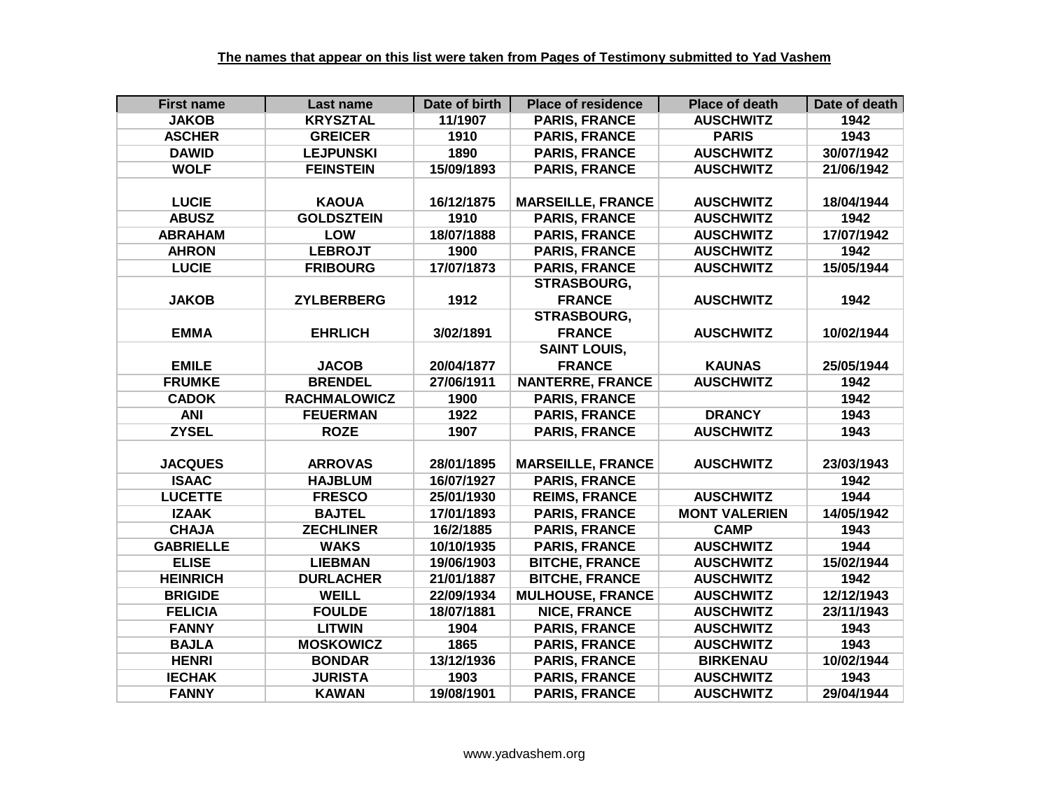| <b>First name</b> | Last name           | Date of birth | <b>Place of residence</b> | <b>Place of death</b> | Date of death |
|-------------------|---------------------|---------------|---------------------------|-----------------------|---------------|
| <b>JAKOB</b>      | <b>KRYSZTAL</b>     | 11/1907       | <b>PARIS, FRANCE</b>      | <b>AUSCHWITZ</b>      | 1942          |
| <b>ASCHER</b>     | <b>GREICER</b>      | 1910          | <b>PARIS, FRANCE</b>      | <b>PARIS</b>          | 1943          |
| <b>DAWID</b>      | <b>LEJPUNSKI</b>    | 1890          | <b>PARIS, FRANCE</b>      | <b>AUSCHWITZ</b>      | 30/07/1942    |
| <b>WOLF</b>       | <b>FEINSTEIN</b>    | 15/09/1893    | <b>PARIS, FRANCE</b>      | <b>AUSCHWITZ</b>      | 21/06/1942    |
|                   |                     |               |                           |                       |               |
| <b>LUCIE</b>      | <b>KAOUA</b>        | 16/12/1875    | <b>MARSEILLE, FRANCE</b>  | <b>AUSCHWITZ</b>      | 18/04/1944    |
| <b>ABUSZ</b>      | <b>GOLDSZTEIN</b>   | 1910          | <b>PARIS, FRANCE</b>      | <b>AUSCHWITZ</b>      | 1942          |
| <b>ABRAHAM</b>    | <b>LOW</b>          | 18/07/1888    | <b>PARIS, FRANCE</b>      | <b>AUSCHWITZ</b>      | 17/07/1942    |
| <b>AHRON</b>      | <b>LEBROJT</b>      | 1900          | <b>PARIS, FRANCE</b>      | <b>AUSCHWITZ</b>      | 1942          |
| <b>LUCIE</b>      | <b>FRIBOURG</b>     | 17/07/1873    | <b>PARIS, FRANCE</b>      | <b>AUSCHWITZ</b>      | 15/05/1944    |
|                   |                     |               | <b>STRASBOURG,</b>        |                       |               |
| <b>JAKOB</b>      | <b>ZYLBERBERG</b>   | 1912          | <b>FRANCE</b>             | <b>AUSCHWITZ</b>      | 1942          |
|                   |                     |               | <b>STRASBOURG,</b>        |                       |               |
| <b>EMMA</b>       | <b>EHRLICH</b>      | 3/02/1891     | <b>FRANCE</b>             | <b>AUSCHWITZ</b>      | 10/02/1944    |
|                   |                     |               | <b>SAINT LOUIS,</b>       |                       |               |
| <b>EMILE</b>      | <b>JACOB</b>        | 20/04/1877    | <b>FRANCE</b>             | <b>KAUNAS</b>         | 25/05/1944    |
| <b>FRUMKE</b>     | <b>BRENDEL</b>      | 27/06/1911    | <b>NANTERRE, FRANCE</b>   | <b>AUSCHWITZ</b>      | 1942          |
| <b>CADOK</b>      | <b>RACHMALOWICZ</b> | 1900          | <b>PARIS, FRANCE</b>      |                       | 1942          |
| <b>ANI</b>        | <b>FEUERMAN</b>     | 1922          | <b>PARIS, FRANCE</b>      | <b>DRANCY</b>         | 1943          |
| <b>ZYSEL</b>      | <b>ROZE</b>         | 1907          | <b>PARIS, FRANCE</b>      | <b>AUSCHWITZ</b>      | 1943          |
|                   |                     |               |                           |                       |               |
| <b>JACQUES</b>    | <b>ARROVAS</b>      | 28/01/1895    | <b>MARSEILLE, FRANCE</b>  | <b>AUSCHWITZ</b>      | 23/03/1943    |
| <b>ISAAC</b>      | <b>HAJBLUM</b>      | 16/07/1927    | <b>PARIS, FRANCE</b>      |                       | 1942          |
| <b>LUCETTE</b>    | <b>FRESCO</b>       | 25/01/1930    | <b>REIMS, FRANCE</b>      | <b>AUSCHWITZ</b>      | 1944          |
| <b>IZAAK</b>      | <b>BAJTEL</b>       | 17/01/1893    | <b>PARIS, FRANCE</b>      | <b>MONT VALERIEN</b>  | 14/05/1942    |
| <b>CHAJA</b>      | <b>ZECHLINER</b>    | 16/2/1885     | <b>PARIS, FRANCE</b>      | <b>CAMP</b>           | 1943          |
| <b>GABRIELLE</b>  | <b>WAKS</b>         | 10/10/1935    | <b>PARIS, FRANCE</b>      | <b>AUSCHWITZ</b>      | 1944          |
| <b>ELISE</b>      | <b>LIEBMAN</b>      | 19/06/1903    | <b>BITCHE, FRANCE</b>     | <b>AUSCHWITZ</b>      | 15/02/1944    |
| <b>HEINRICH</b>   | <b>DURLACHER</b>    | 21/01/1887    | <b>BITCHE, FRANCE</b>     | <b>AUSCHWITZ</b>      | 1942          |
| <b>BRIGIDE</b>    | <b>WEILL</b>        | 22/09/1934    | <b>MULHOUSE, FRANCE</b>   | <b>AUSCHWITZ</b>      | 12/12/1943    |
| <b>FELICIA</b>    | <b>FOULDE</b>       | 18/07/1881    | <b>NICE, FRANCE</b>       | <b>AUSCHWITZ</b>      | 23/11/1943    |
| <b>FANNY</b>      | <b>LITWIN</b>       | 1904          | <b>PARIS, FRANCE</b>      | <b>AUSCHWITZ</b>      | 1943          |
| <b>BAJLA</b>      | <b>MOSKOWICZ</b>    | 1865          | <b>PARIS, FRANCE</b>      | <b>AUSCHWITZ</b>      | 1943          |
| <b>HENRI</b>      | <b>BONDAR</b>       | 13/12/1936    | <b>PARIS, FRANCE</b>      | <b>BIRKENAU</b>       | 10/02/1944    |
| <b>IECHAK</b>     | <b>JURISTA</b>      | 1903          | <b>PARIS, FRANCE</b>      | <b>AUSCHWITZ</b>      | 1943          |
| <b>FANNY</b>      | <b>KAWAN</b>        | 19/08/1901    | <b>PARIS, FRANCE</b>      | <b>AUSCHWITZ</b>      | 29/04/1944    |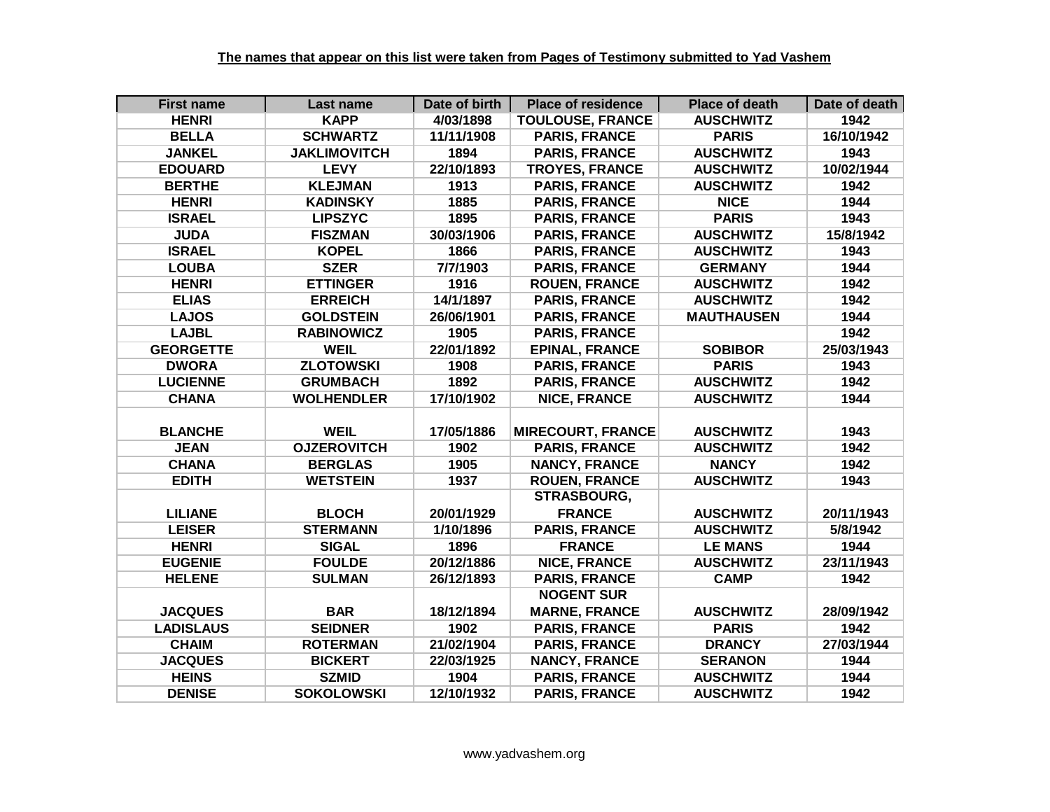| <b>First name</b> | Last name           | Date of birth | <b>Place of residence</b> | <b>Place of death</b> | Date of death |
|-------------------|---------------------|---------------|---------------------------|-----------------------|---------------|
| <b>HENRI</b>      | <b>KAPP</b>         | 4/03/1898     | <b>TOULOUSE, FRANCE</b>   | <b>AUSCHWITZ</b>      | 1942          |
| <b>BELLA</b>      | <b>SCHWARTZ</b>     | 11/11/1908    | <b>PARIS, FRANCE</b>      | <b>PARIS</b>          | 16/10/1942    |
| <b>JANKEL</b>     | <b>JAKLIMOVITCH</b> | 1894          | <b>PARIS, FRANCE</b>      | <b>AUSCHWITZ</b>      | 1943          |
| <b>EDOUARD</b>    | <b>LEVY</b>         | 22/10/1893    | <b>TROYES, FRANCE</b>     | <b>AUSCHWITZ</b>      | 10/02/1944    |
| <b>BERTHE</b>     | <b>KLEJMAN</b>      | 1913          | <b>PARIS, FRANCE</b>      | <b>AUSCHWITZ</b>      | 1942          |
| <b>HENRI</b>      | <b>KADINSKY</b>     | 1885          | <b>PARIS, FRANCE</b>      | <b>NICE</b>           | 1944          |
| <b>ISRAEL</b>     | <b>LIPSZYC</b>      | 1895          | <b>PARIS, FRANCE</b>      | <b>PARIS</b>          | 1943          |
| <b>JUDA</b>       | <b>FISZMAN</b>      | 30/03/1906    | <b>PARIS, FRANCE</b>      | <b>AUSCHWITZ</b>      | 15/8/1942     |
| <b>ISRAEL</b>     | <b>KOPEL</b>        | 1866          | <b>PARIS, FRANCE</b>      | <b>AUSCHWITZ</b>      | 1943          |
| <b>LOUBA</b>      | <b>SZER</b>         | 7/7/1903      | <b>PARIS, FRANCE</b>      | <b>GERMANY</b>        | 1944          |
| <b>HENRI</b>      | <b>ETTINGER</b>     | 1916          | <b>ROUEN, FRANCE</b>      | <b>AUSCHWITZ</b>      | 1942          |
| <b>ELIAS</b>      | <b>ERREICH</b>      | 14/1/1897     | <b>PARIS, FRANCE</b>      | <b>AUSCHWITZ</b>      | 1942          |
| <b>LAJOS</b>      | <b>GOLDSTEIN</b>    | 26/06/1901    | <b>PARIS, FRANCE</b>      | <b>MAUTHAUSEN</b>     | 1944          |
| <b>LAJBL</b>      | <b>RABINOWICZ</b>   | 1905          | <b>PARIS, FRANCE</b>      |                       | 1942          |
| <b>GEORGETTE</b>  | <b>WEIL</b>         | 22/01/1892    | <b>EPINAL, FRANCE</b>     | <b>SOBIBOR</b>        | 25/03/1943    |
| <b>DWORA</b>      | <b>ZLOTOWSKI</b>    | 1908          | <b>PARIS, FRANCE</b>      | <b>PARIS</b>          | 1943          |
| <b>LUCIENNE</b>   | <b>GRUMBACH</b>     | 1892          | <b>PARIS, FRANCE</b>      | <b>AUSCHWITZ</b>      | 1942          |
| <b>CHANA</b>      | <b>WOLHENDLER</b>   | 17/10/1902    | <b>NICE, FRANCE</b>       | <b>AUSCHWITZ</b>      | 1944          |
|                   |                     |               |                           |                       |               |
| <b>BLANCHE</b>    | <b>WEIL</b>         | 17/05/1886    | <b>MIRECOURT, FRANCE</b>  | <b>AUSCHWITZ</b>      | 1943          |
| <b>JEAN</b>       | <b>OJZEROVITCH</b>  | 1902          | <b>PARIS, FRANCE</b>      | <b>AUSCHWITZ</b>      | 1942          |
| <b>CHANA</b>      | <b>BERGLAS</b>      | 1905          | <b>NANCY, FRANCE</b>      | <b>NANCY</b>          | 1942          |
| <b>EDITH</b>      | <b>WETSTEIN</b>     | 1937          | <b>ROUEN, FRANCE</b>      | <b>AUSCHWITZ</b>      | 1943          |
|                   |                     |               | <b>STRASBOURG,</b>        |                       |               |
| <b>LILIANE</b>    | <b>BLOCH</b>        | 20/01/1929    | <b>FRANCE</b>             | <b>AUSCHWITZ</b>      | 20/11/1943    |
| <b>LEISER</b>     | <b>STERMANN</b>     | 1/10/1896     | <b>PARIS, FRANCE</b>      | <b>AUSCHWITZ</b>      | 5/8/1942      |
| <b>HENRI</b>      | <b>SIGAL</b>        | 1896          | <b>FRANCE</b>             | <b>LE MANS</b>        | 1944          |
| <b>EUGENIE</b>    | <b>FOULDE</b>       | 20/12/1886    | <b>NICE, FRANCE</b>       | <b>AUSCHWITZ</b>      | 23/11/1943    |
| <b>HELENE</b>     | <b>SULMAN</b>       | 26/12/1893    | <b>PARIS, FRANCE</b>      | <b>CAMP</b>           | 1942          |
|                   |                     |               | <b>NOGENT SUR</b>         |                       |               |
| <b>JACQUES</b>    | <b>BAR</b>          | 18/12/1894    | <b>MARNE, FRANCE</b>      | <b>AUSCHWITZ</b>      | 28/09/1942    |
| <b>LADISLAUS</b>  | <b>SEIDNER</b>      | 1902          | <b>PARIS, FRANCE</b>      | <b>PARIS</b>          | 1942          |
| <b>CHAIM</b>      | <b>ROTERMAN</b>     | 21/02/1904    | <b>PARIS, FRANCE</b>      | <b>DRANCY</b>         | 27/03/1944    |
| <b>JACQUES</b>    | <b>BICKERT</b>      | 22/03/1925    | <b>NANCY, FRANCE</b>      | <b>SERANON</b>        | 1944          |
| <b>HEINS</b>      | <b>SZMID</b>        | 1904          | <b>PARIS, FRANCE</b>      | <b>AUSCHWITZ</b>      | 1944          |
| <b>DENISE</b>     | <b>SOKOLOWSKI</b>   | 12/10/1932    | <b>PARIS, FRANCE</b>      | <b>AUSCHWITZ</b>      | 1942          |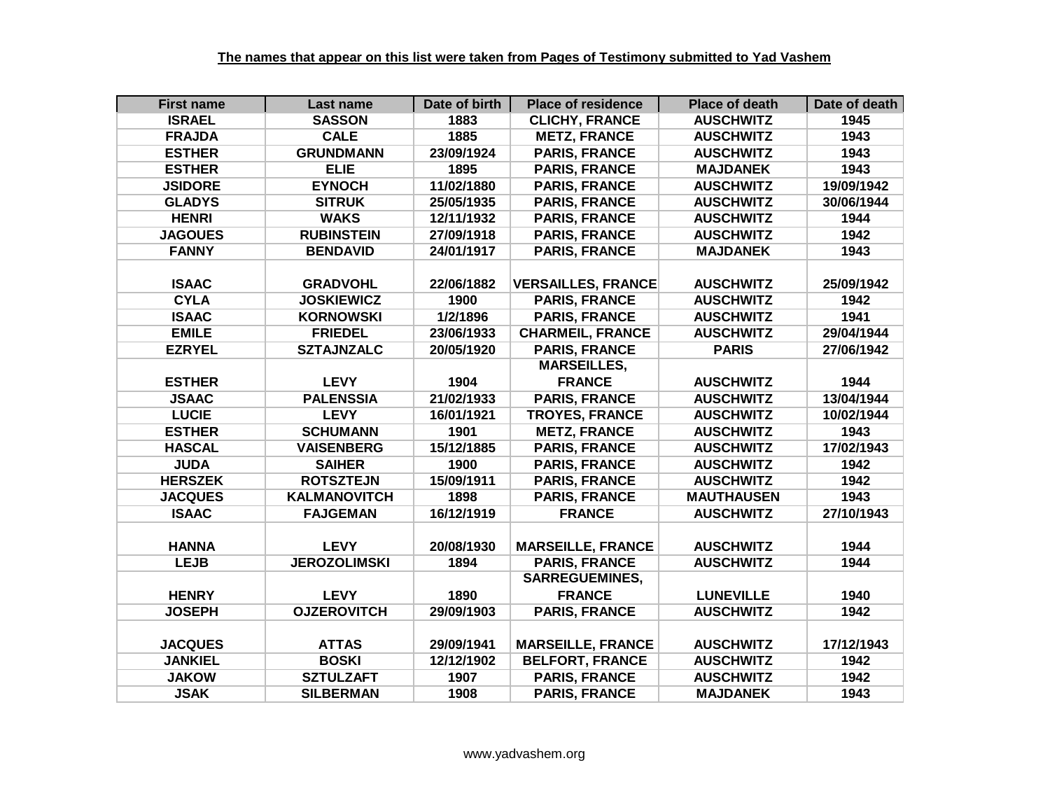| <b>First name</b> | Last name           | Date of birth | <b>Place of residence</b> | <b>Place of death</b> | Date of death |
|-------------------|---------------------|---------------|---------------------------|-----------------------|---------------|
| <b>ISRAEL</b>     | <b>SASSON</b>       | 1883          | <b>CLICHY, FRANCE</b>     | <b>AUSCHWITZ</b>      | 1945          |
| <b>FRAJDA</b>     | <b>CALE</b>         | 1885          | <b>METZ, FRANCE</b>       | <b>AUSCHWITZ</b>      | 1943          |
| <b>ESTHER</b>     | <b>GRUNDMANN</b>    | 23/09/1924    | <b>PARIS, FRANCE</b>      | <b>AUSCHWITZ</b>      | 1943          |
| <b>ESTHER</b>     | <b>ELIE</b>         | 1895          | <b>PARIS, FRANCE</b>      | <b>MAJDANEK</b>       | 1943          |
| <b>JSIDORE</b>    | <b>EYNOCH</b>       | 11/02/1880    | <b>PARIS, FRANCE</b>      | <b>AUSCHWITZ</b>      | 19/09/1942    |
| <b>GLADYS</b>     | <b>SITRUK</b>       | 25/05/1935    | <b>PARIS, FRANCE</b>      | <b>AUSCHWITZ</b>      | 30/06/1944    |
| <b>HENRI</b>      | <b>WAKS</b>         | 12/11/1932    | <b>PARIS, FRANCE</b>      | <b>AUSCHWITZ</b>      | 1944          |
| <b>JAGOUES</b>    | <b>RUBINSTEIN</b>   | 27/09/1918    | <b>PARIS, FRANCE</b>      | <b>AUSCHWITZ</b>      | 1942          |
| <b>FANNY</b>      | <b>BENDAVID</b>     | 24/01/1917    | <b>PARIS, FRANCE</b>      | <b>MAJDANEK</b>       | 1943          |
|                   |                     |               |                           |                       |               |
| <b>ISAAC</b>      | <b>GRADVOHL</b>     | 22/06/1882    | <b>VERSAILLES, FRANCE</b> | <b>AUSCHWITZ</b>      | 25/09/1942    |
| <b>CYLA</b>       | <b>JOSKIEWICZ</b>   | 1900          | <b>PARIS, FRANCE</b>      | <b>AUSCHWITZ</b>      | 1942          |
| <b>ISAAC</b>      | <b>KORNOWSKI</b>    | 1/2/1896      | <b>PARIS, FRANCE</b>      | <b>AUSCHWITZ</b>      | 1941          |
| <b>EMILE</b>      | <b>FRIEDEL</b>      | 23/06/1933    | <b>CHARMEIL, FRANCE</b>   | <b>AUSCHWITZ</b>      | 29/04/1944    |
| <b>EZRYEL</b>     | <b>SZTAJNZALC</b>   | 20/05/1920    | <b>PARIS, FRANCE</b>      | <b>PARIS</b>          | 27/06/1942    |
|                   |                     |               | <b>MARSEILLES,</b>        |                       |               |
| <b>ESTHER</b>     | <b>LEVY</b>         | 1904          | <b>FRANCE</b>             | <b>AUSCHWITZ</b>      | 1944          |
| <b>JSAAC</b>      | <b>PALENSSIA</b>    | 21/02/1933    | <b>PARIS, FRANCE</b>      | <b>AUSCHWITZ</b>      | 13/04/1944    |
| <b>LUCIE</b>      | <b>LEVY</b>         | 16/01/1921    | <b>TROYES, FRANCE</b>     | <b>AUSCHWITZ</b>      | 10/02/1944    |
| <b>ESTHER</b>     | <b>SCHUMANN</b>     | 1901          | <b>METZ, FRANCE</b>       | <b>AUSCHWITZ</b>      | 1943          |
| <b>HASCAL</b>     | <b>VAISENBERG</b>   | 15/12/1885    | <b>PARIS, FRANCE</b>      | <b>AUSCHWITZ</b>      | 17/02/1943    |
| <b>JUDA</b>       | <b>SAIHER</b>       | 1900          | <b>PARIS, FRANCE</b>      | <b>AUSCHWITZ</b>      | 1942          |
| <b>HERSZEK</b>    | <b>ROTSZTEJN</b>    | 15/09/1911    | <b>PARIS, FRANCE</b>      | <b>AUSCHWITZ</b>      | 1942          |
| <b>JACQUES</b>    | <b>KALMANOVITCH</b> | 1898          | <b>PARIS, FRANCE</b>      | <b>MAUTHAUSEN</b>     | 1943          |
| <b>ISAAC</b>      | <b>FAJGEMAN</b>     | 16/12/1919    | <b>FRANCE</b>             | <b>AUSCHWITZ</b>      | 27/10/1943    |
|                   |                     |               |                           |                       |               |
| <b>HANNA</b>      | <b>LEVY</b>         | 20/08/1930    | <b>MARSEILLE, FRANCE</b>  | <b>AUSCHWITZ</b>      | 1944          |
| <b>LEJB</b>       | <b>JEROZOLIMSKI</b> | 1894          | <b>PARIS, FRANCE</b>      | <b>AUSCHWITZ</b>      | 1944          |
|                   |                     |               | <b>SARREGUEMINES,</b>     |                       |               |
| <b>HENRY</b>      | <b>LEVY</b>         | 1890          | <b>FRANCE</b>             | <b>LUNEVILLE</b>      | 1940          |
| <b>JOSEPH</b>     | <b>OJZEROVITCH</b>  | 29/09/1903    | <b>PARIS, FRANCE</b>      | <b>AUSCHWITZ</b>      | 1942          |
|                   |                     |               |                           |                       |               |
| <b>JACQUES</b>    | <b>ATTAS</b>        | 29/09/1941    | <b>MARSEILLE, FRANCE</b>  | <b>AUSCHWITZ</b>      | 17/12/1943    |
| <b>JANKIEL</b>    | <b>BOSKI</b>        | 12/12/1902    | <b>BELFORT, FRANCE</b>    | <b>AUSCHWITZ</b>      | 1942          |
| <b>JAKOW</b>      | <b>SZTULZAFT</b>    | 1907          | <b>PARIS, FRANCE</b>      | <b>AUSCHWITZ</b>      | 1942          |
| <b>JSAK</b>       | <b>SILBERMAN</b>    | 1908          | <b>PARIS, FRANCE</b>      | <b>MAJDANEK</b>       | 1943          |